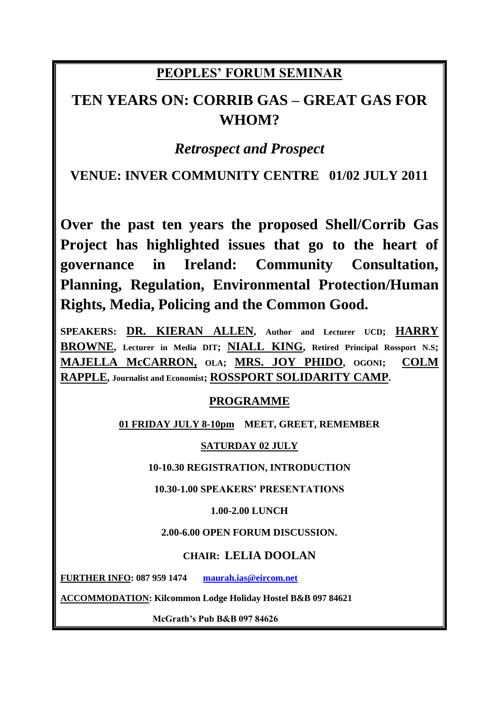# **PEOPLES' FORUM SEMINAR**

# **TEN YEARS ON: CORRIB GAS – GREAT GAS FOR WHOM?**

# *Retrospect and Prospect*

**VENUE: INVER COMMUNITY CENTRE 01/02 JULY 2011** 

**Over the past ten years the proposed Shell/Corrib Gas Project has highlighted issues that go to the heart of governance in Ireland: Community Consultation, Planning, Regulation, Environmental Protection/Human Rights, Media, Policing and the Common Good.**

**SPEAKERS: DR. KIERAN ALLEN, Author and Lecturer UCD; HARRY BROWNE, Lecturer in Media DIT; NIALL KING, Retired Principal Rossport N.S; MAJELLA McCARRON, OLA; MRS. JOY PHIDO, OGONI; COLM RAPPLE, Journalist and Economist; ROSSPORT SOLIDARITY CAMP.**

# **PROGRAMME**

# **01 FRIDAY JULY 8-10pm MEET, GREET, REMEMBER**

# **SATURDAY 02 JULY**

# **10-10.30 REGISTRATION, INTRODUCTION**

**10.30-1.00 SPEAKERS' PRESENTATIONS**

# **1.00-2.00 LUNCH**

# **2.00-6.00 OPEN FORUM DISCUSSION.**

# **CHAIR: LELIA DOOLAN**

**FURTHER INFO: 087 959 1474 [maurah.ias@eircom.net](mailto:maurah.ias@eircom.net)**

**ACCOMMODATION: Kilcommon Lodge Holiday Hostel B&B 097 84621**

 **McGrath's Pub B&B 097 84626**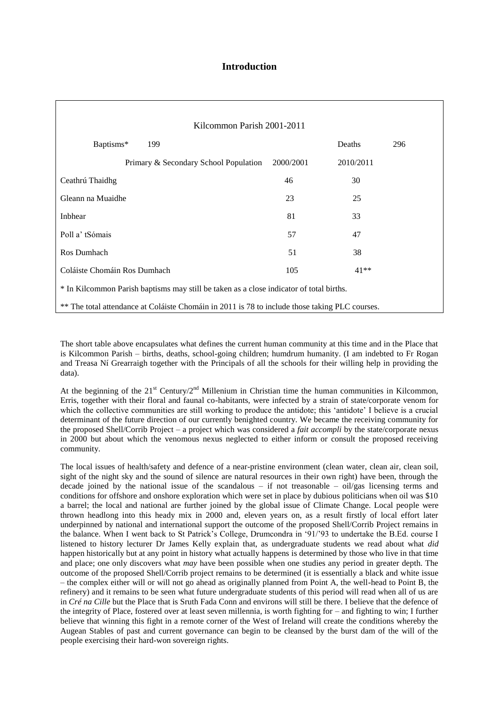# **Introduction**

| Kilcommon Parish 2001-2011                                                                     |           |           |     |  |  |  |  |  |
|------------------------------------------------------------------------------------------------|-----------|-----------|-----|--|--|--|--|--|
| Baptisms*<br>199                                                                               |           | Deaths    | 296 |  |  |  |  |  |
| Primary & Secondary School Population                                                          | 2000/2001 | 2010/2011 |     |  |  |  |  |  |
| Ceathrú Thaidhg                                                                                | 46        | 30        |     |  |  |  |  |  |
| Gleann na Muaidhe                                                                              | 23        | 25        |     |  |  |  |  |  |
| Inbhear                                                                                        | 81        | 33        |     |  |  |  |  |  |
| Poll a' tSómais                                                                                | 57        | 47        |     |  |  |  |  |  |
| Ros Dumhach                                                                                    | 51        | 38        |     |  |  |  |  |  |
| Coláiste Chomáin Ros Dumhach                                                                   | 105       | $41**$    |     |  |  |  |  |  |
| * In Kilcommon Parish baptisms may still be taken as a close indicator of total births.        |           |           |     |  |  |  |  |  |
| ** The total attendance at Coláiste Chomáin in 2011 is 78 to include those taking PLC courses. |           |           |     |  |  |  |  |  |

The short table above encapsulates what defines the current human community at this time and in the Place that is Kilcommon Parish – births, deaths, school-going children; humdrum humanity. (I am indebted to Fr Rogan and Treasa Ní Grearraigh together with the Principals of all the schools for their willing help in providing the data).

At the beginning of the  $21^{st}$  Century/ $2^{nd}$  Millenium in Christian time the human communities in Kilcommon, Erris, together with their floral and faunal co-habitants, were infected by a strain of state/corporate venom for which the collective communities are still working to produce the antidote; this 'antidote' I believe is a crucial determinant of the future direction of our currently benighted country. We became the receiving community for the proposed Shell/Corrib Project – a project which was considered a *fait accompli* by the state/corporate nexus in 2000 but about which the venomous nexus neglected to either inform or consult the proposed receiving community.

The local issues of health/safety and defence of a near-pristine environment (clean water, clean air, clean soil, sight of the night sky and the sound of silence are natural resources in their own right) have been, through the decade joined by the national issue of the scandalous – if not treasonable – oil/gas licensing terms and conditions for offshore and onshore exploration which were set in place by dubious politicians when oil was \$10 a barrel; the local and national are further joined by the global issue of Climate Change. Local people were thrown headlong into this heady mix in 2000 and, eleven years on, as a result firstly of local effort later underpinned by national and international support the outcome of the proposed Shell/Corrib Project remains in the balance. When I went back to St Patrick"s College, Drumcondra in "91/"93 to undertake the B.Ed. course I listened to history lecturer Dr James Kelly explain that, as undergraduate students we read about what *did*  happen historically but at any point in history what actually happens is determined by those who live in that time and place; one only discovers what *may* have been possible when one studies any period in greater depth. The outcome of the proposed Shell/Corrib project remains to be determined (it is essentially a black and white issue – the complex either will or will not go ahead as originally planned from Point A, the well-head to Point B, the refinery) and it remains to be seen what future undergraduate students of this period will read when all of us are in *Cré na Cille* but the Place that is Sruth Fada Conn and environs will still be there. I believe that the defence of the integrity of Place, fostered over at least seven millennia, is worth fighting for – and fighting to win; I further believe that winning this fight in a remote corner of the West of Ireland will create the conditions whereby the Augean Stables of past and current governance can begin to be cleansed by the burst dam of the will of the people exercising their hard-won sovereign rights.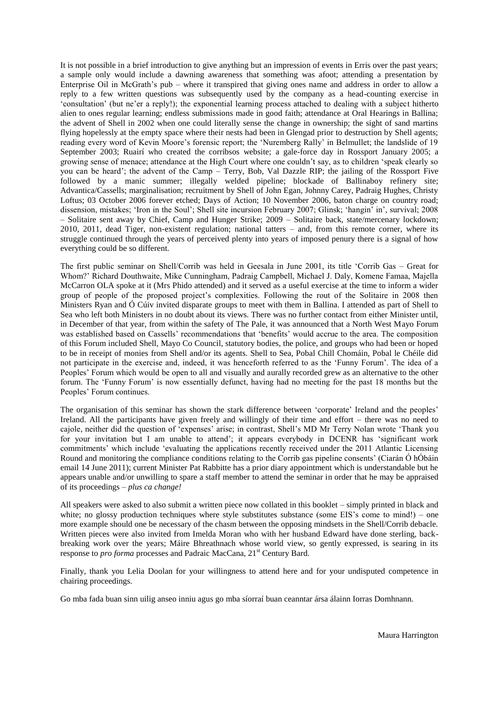It is not possible in a brief introduction to give anything but an impression of events in Erris over the past years; a sample only would include a dawning awareness that something was afoot; attending a presentation by Enterprise Oil in McGrath"s pub – where it transpired that giving ones name and address in order to allow a reply to a few written questions was subsequently used by the company as a head-counting exercise in "consultation" (but ne"er a reply!); the exponential learning process attached to dealing with a subject hitherto alien to ones regular learning; endless submissions made in good faith; attendance at Oral Hearings in Ballina; the advent of Shell in 2002 when one could literally sense the change in ownership; the sight of sand martins flying hopelessly at the empty space where their nests had been in Glengad prior to destruction by Shell agents; reading every word of Kevin Moore"s forensic report; the "Nuremberg Rally" in Belmullet; the landslide of 19 September 2003; Ruairí who created the corribsos website; a gale-force day in Rossport January 2005; a growing sense of menace; attendance at the High Court where one couldn"t say, as to children "speak clearly so you can be heard"; the advent of the Camp – Terry, Bob, Val Dazzle RIP; the jailing of the Rossport Five followed by a manic summer; illegally welded pipeline; blockade of Ballinaboy refinery site; Advantica/Cassells; marginalisation; recruitment by Shell of John Egan, Johnny Carey, Padraig Hughes, Christy Loftus; 03 October 2006 forever etched; Days of Action; 10 November 2006, baton charge on country road; dissension, mistakes; 'Iron in the Soul'; Shell site incursion February 2007; Glinsk; 'hangin' in', survival; 2008 – Solitaire sent away by Chief, Camp and Hunger Strike; 2009 – Solitaire back, state/mercenary lockdown; 2010, 2011, dead Tiger, non-existent regulation; national tatters – and, from this remote corner, where its struggle continued through the years of perceived plenty into years of imposed penury there is a signal of how everything could be so different.

The first public seminar on Shell/Corrib was held in Geesala in June 2001, its title "Corrib Gas – Great for Whom?" Richard Douthwaite, Mike Cunningham, Padraig Campbell, Michael J. Daly, Komene Famaa, Majella McCarron OLA spoke at it (Mrs Phido attended) and it served as a useful exercise at the time to inform a wider group of people of the proposed project"s complexities. Following the rout of the Solitaire in 2008 then Ministers Ryan and Ó Cúiv invited disparate groups to meet with them in Ballina. I attended as part of Shell to Sea who left both Ministers in no doubt about its views. There was no further contact from either Minister until, in December of that year, from within the safety of The Pale, it was announced that a North West Mayo Forum was established based on Cassells' recommendations that 'benefits' would accrue to the area. The composition of this Forum included Shell, Mayo Co Council, statutory bodies, the police, and groups who had been or hoped to be in receipt of monies from Shell and/or its agents. Shell to Sea, Pobal Chill Chomáin, Pobal le Chéile did not participate in the exercise and, indeed, it was henceforth referred to as the "Funny Forum". The idea of a Peoples" Forum which would be open to all and visually and aurally recorded grew as an alternative to the other forum. The "Funny Forum" is now essentially defunct, having had no meeting for the past 18 months but the Peoples" Forum continues.

The organisation of this seminar has shown the stark difference between "corporate" Ireland and the peoples" Ireland. All the participants have given freely and willingly of their time and effort – there was no need to cajole, neither did the question of "expenses" arise; in contrast, Shell"s MD Mr Terry Nolan wrote "Thank you for your invitation but I am unable to attend'; it appears everybody in DCENR has 'significant work commitments" which include "evaluating the applications recently received under the 2011 Atlantic Licensing Round and monitoring the compliance conditions relating to the Corrib gas pipeline consents" (Ciarán Ó hÓbáin email 14 June 2011); current Minister Pat Rabbitte has a prior diary appointment which is understandable but he appears unable and/or unwilling to spare a staff member to attend the seminar in order that he may be appraised of its proceedings – *plus ca change!* 

All speakers were asked to also submit a written piece now collated in this booklet – simply printed in black and white; no glossy production techniques where style substitutes substance (some EIS's come to mind!) – one more example should one be necessary of the chasm between the opposing mindsets in the Shell/Corrib debacle. Written pieces were also invited from Imelda Moran who with her husband Edward have done sterling, backbreaking work over the years; Máire Bhreathnach whose world view, so gently expressed, is searing in its response to *pro forma* processes and Padraic MacCana, 21st Century Bard.

Finally, thank you Lelia Doolan for your willingness to attend here and for your undisputed competence in chairing proceedings.

Go mba fada buan sinn uilig anseo inniu agus go mba síorraí buan ceanntar ársa álainn Iorras Domhnann.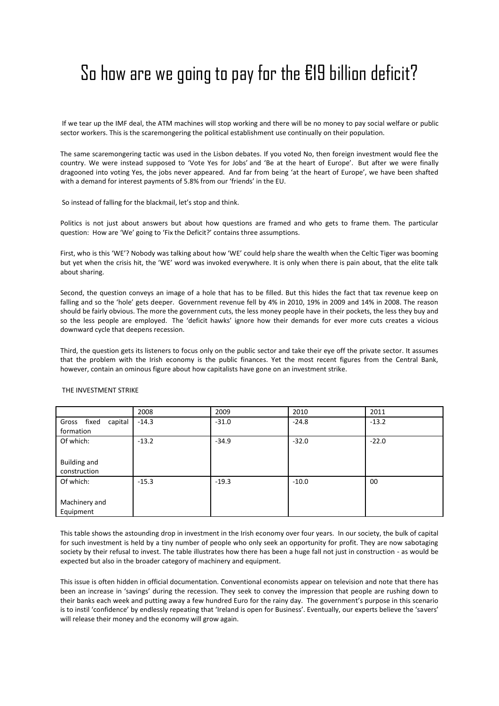# So how are we going to pay for the €19 billion deficit?

If we tear up the IMF deal, the ATM machines will stop working and there will be no money to pay social welfare or public sector workers. This is the scaremongering the political establishment use continually on their population.

The same scaremongering tactic was used in the Lisbon debates. If you voted No, then foreign investment would flee the country. We were instead supposed to 'Vote Yes for Jobs' and 'Be at the heart of Europe'. But after we were finally dragooned into voting Yes, the jobs never appeared. And far from being 'at the heart of Europe', we have been shafted with a demand for interest payments of 5.8% from our 'friends' in the EU.

So instead of falling for the blackmail, let's stop and think.

Politics is not just about answers but about how questions are framed and who gets to frame them. The particular question: How are 'We' going to 'Fix the Deficit?' contains three assumptions.

First, who is this 'WE'? Nobody was talking about how 'WE' could help share the wealth when the Celtic Tiger was booming but yet when the crisis hit, the 'WE' word was invoked everywhere. It is only when there is pain about, that the elite talk about sharing.

Second, the question conveys an image of a hole that has to be filled. But this hides the fact that tax revenue keep on falling and so the 'hole' gets deeper. Government revenue fell by 4% in 2010, 19% in 2009 and 14% in 2008. The reason should be fairly obvious. The more the government cuts, the less money people have in their pockets, the less they buy and so the less people are employed. The 'deficit hawks' ignore how their demands for ever more cuts creates a vicious downward cycle that deepens recession.

Third, the question gets its listeners to focus only on the public sector and take their eye off the private sector. It assumes that the problem with the Irish economy is the public finances. Yet the most recent figures from the Central Bank, however, contain an ominous figure about how capitalists have gone on an investment strike.

|                                     | 2008    | 2009    | 2010    | 2011    |
|-------------------------------------|---------|---------|---------|---------|
| fixed<br>capital<br>Gross           | $-14.3$ | $-31.0$ | $-24.8$ | $-13.2$ |
| formation                           |         |         |         |         |
| Of which:                           | $-13.2$ | $-34.9$ | $-32.0$ | $-22.0$ |
| <b>Building and</b><br>construction |         |         |         |         |
| Of which:                           | $-15.3$ | $-19.3$ | $-10.0$ | 00      |
| Machinery and<br>Equipment          |         |         |         |         |

#### THE INVESTMENT STRIKE

This table shows the astounding drop in investment in the Irish economy over four years. In our society, the bulk of capital for such investment is held by a tiny number of people who only seek an opportunity for profit. They are now sabotaging society by their refusal to invest. The table illustrates how there has been a huge fall not just in construction - as would be expected but also in the broader category of machinery and equipment.

This issue is often hidden in official documentation. Conventional economists appear on television and note that there has been an increase in 'savings' during the recession. They seek to convey the impression that people are rushing down to their banks each week and putting away a few hundred Euro for the rainy day. The government's purpose in this scenario is to instil 'confidence' by endlessly repeating that 'Ireland is open for Business'. Eventually, our experts believe the 'savers' will release their money and the economy will grow again.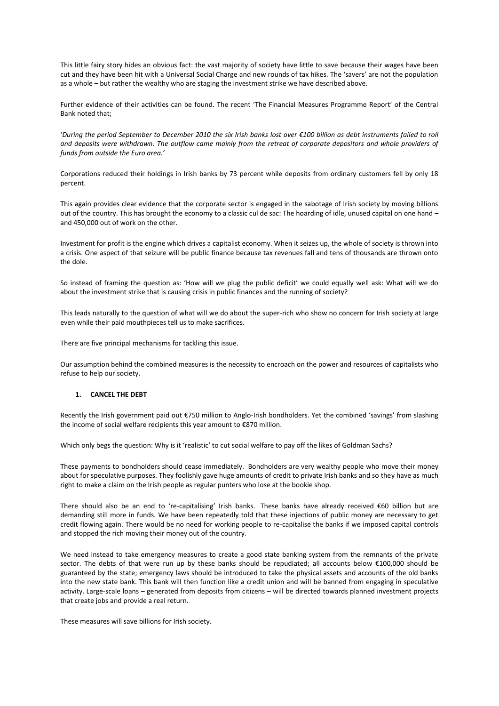This little fairy story hides an obvious fact: the vast majority of society have little to save because their wages have been cut and they have been hit with a Universal Social Charge and new rounds of tax hikes. The 'savers' are not the population as a whole – but rather the wealthy who are staging the investment strike we have described above.

Further evidence of their activities can be found. The recent 'The Financial Measures Programme Report' of the Central Bank noted that;

'During the period September to December 2010 the six Irish banks lost over €100 billion as debt instruments failed to roll *and deposits were withdrawn. The outflow came mainly from the retreat of corporate depositors and whole providers of funds from outside the Euro area.'*

Corporations reduced their holdings in Irish banks by 73 percent while deposits from ordinary customers fell by only 18 percent.

This again provides clear evidence that the corporate sector is engaged in the sabotage of Irish society by moving billions out of the country. This has brought the economy to a classic cul de sac: The hoarding of idle, unused capital on one hand – and 450,000 out of work on the other.

Investment for profit is the engine which drives a capitalist economy. When it seizes up, the whole of society is thrown into a crisis. One aspect of that seizure will be public finance because tax revenues fall and tens of thousands are thrown onto the dole.

So instead of framing the question as: 'How will we plug the public deficit' we could equally well ask: What will we do about the investment strike that is causing crisis in public finances and the running of society?

This leads naturally to the question of what will we do about the super-rich who show no concern for Irish society at large even while their paid mouthpieces tell us to make sacrifices.

There are five principal mechanisms for tackling this issue.

Our assumption behind the combined measures is the necessity to encroach on the power and resources of capitalists who refuse to help our society.

#### **1. CANCEL THE DEBT**

Recently the Irish government paid out €750 million to Anglo-Irish bondholders. Yet the combined 'savings' from slashing the income of social welfare recipients this year amount to €870 million.

Which only begs the question: Why is it 'realistic' to cut social welfare to pay off the likes of Goldman Sachs?

These payments to bondholders should cease immediately. Bondholders are very wealthy people who move their money about for speculative purposes. They foolishly gave huge amounts of credit to private Irish banks and so they have as much right to make a claim on the Irish people as regular punters who lose at the bookie shop.

There should also be an end to 're-capitalising' Irish banks. These banks have already received €60 billion but are demanding still more in funds. We have been repeatedly told that these injections of public money are necessary to get credit flowing again. There would be no need for working people to re-capitalise the banks if we imposed capital controls and stopped the rich moving their money out of the country.

We need instead to take emergency measures to create a good state banking system from the remnants of the private sector. The debts of that were run up by these banks should be repudiated; all accounts below €100,000 should be guaranteed by the state; emergency laws should be introduced to take the physical assets and accounts of the old banks into the new state bank. This bank will then function like a credit union and will be banned from engaging in speculative activity. Large-scale loans – generated from deposits from citizens – will be directed towards planned investment projects that create jobs and provide a real return.

These measures will save billions for Irish society.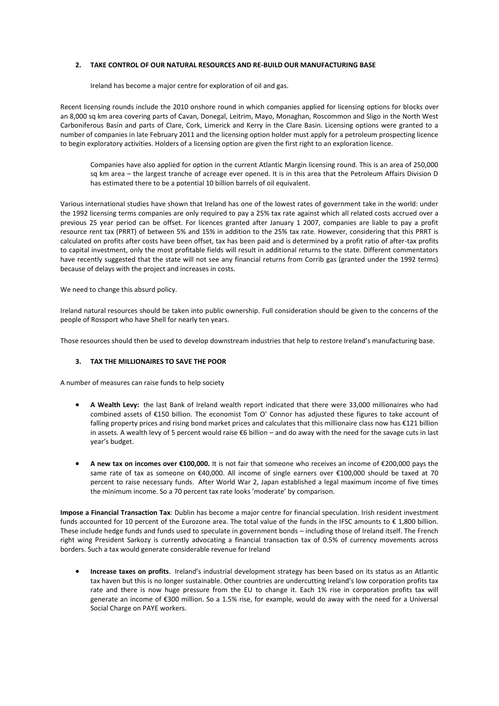#### **2. TAKE CONTROL OF OUR NATURAL RESOURCES AND RE-BUILD OUR MANUFACTURING BASE**

Ireland has become a major centre for exploration of oil and gas.

Recent licensing rounds include the 2010 onshore round in which companies applied for licensing options for blocks over an 8,000 sq km area covering parts of Cavan, Donegal, Leitrim, Mayo, Monaghan, Roscommon and Sligo in the North West Carboniferous Basin and parts of Clare, Cork, Limerick and Kerry in the Clare Basin. Licensing options were granted to a number of companies in late February 2011 and the licensing option holder must apply for a petroleum prospecting licence to begin exploratory activities. Holders of a licensing option are given the first right to an exploration licence.

Companies have also applied for option in the current Atlantic Margin licensing round. This is an area of 250,000 sq km area – the largest tranche of acreage ever opened. It is in this area that the Petroleum Affairs Division D has estimated there to be a potential 10 billion barrels of oil equivalent.

Various international studies have shown that Ireland has one of the lowest rates of government take in the world: under the 1992 licensing terms companies are only required to pay a 25% tax rate against which all related costs accrued over a previous 25 year period can be offset. For licences granted after January 1 2007, companies are liable to pay a profit resource rent tax (PRRT) of between 5% and 15% in addition to the 25% tax rate. However, considering that this PRRT is calculated on profits after costs have been offset, tax has been paid and is determined by a profit ratio of after-tax profits to capital investment, only the most profitable fields will result in additional returns to the state. Different commentators have recently suggested that the state will not see any financial returns from Corrib gas (granted under the 1992 terms) because of delays with the project and increases in costs.

We need to change this absurd policy.

Ireland natural resources should be taken into public ownership. Full consideration should be given to the concerns of the people of Rossport who have Shell for nearly ten years.

Those resources should then be used to develop downstream industries that help to restore Ireland's manufacturing base.

#### **3. TAX THE MILLIONAIRES TO SAVE THE POOR**

A number of measures can raise funds to help society

- **A Wealth Levy:** the last Bank of Ireland wealth report indicated that there were 33,000 millionaires who had combined assets of €150 billion. The economist Tom O' Connor has adjusted these figures to take account of falling property prices and rising bond market prices and calculates that this millionaire class now has €121 billion in assets. A wealth levy of 5 percent would raise €6 billion – and do away with the need for the savage cuts in last year's budget.
- **A new tax on incomes over €100,000.** It is not fair that someone who receives an income of €200,000 pays the same rate of tax as someone on €40,000. All income of single earners over €100,000 should be taxed at 70 percent to raise necessary funds. After World War 2, Japan established a legal maximum income of five times the minimum income. So a 70 percent tax rate looks 'moderate' by comparison.

**Impose a Financial Transaction Tax**: Dublin has become a major centre for financial speculation. Irish resident investment funds accounted for 10 percent of the Eurozone area. The total value of the funds in the IFSC amounts to  $\epsilon$  1,800 billion. These include hedge funds and funds used to speculate in government bonds – including those of Ireland itself. The French right wing President Sarkozy is currently advocating a financial transaction tax of 0.5% of currency movements across borders. Such a tax would generate considerable revenue for Ireland

 **Increase taxes on profits**. Ireland's industrial development strategy has been based on its status as an Atlantic tax haven but this is no longer sustainable. Other countries are undercutting Ireland's low corporation profits tax rate and there is now huge pressure from the EU to change it. Each 1% rise in corporation profits tax will generate an income of €300 million. So a 1.5% rise, for example, would do away with the need for a Universal Social Charge on PAYE workers.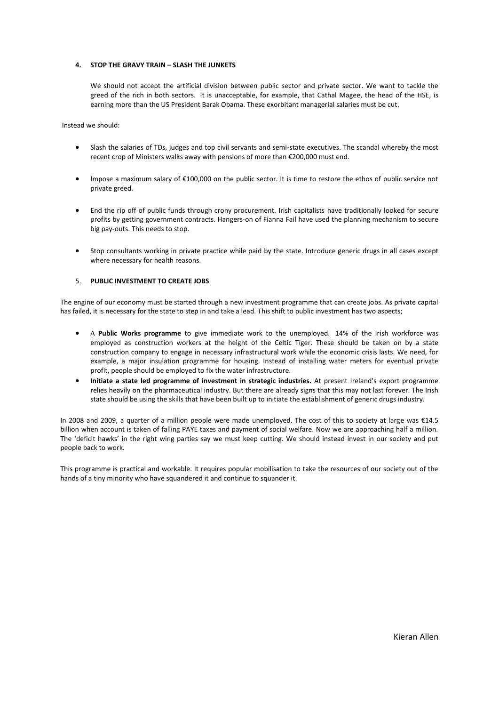#### **4. STOP THE GRAVY TRAIN – SLASH THE JUNKETS**

We should not accept the artificial division between public sector and private sector. We want to tackle the greed of the rich in both sectors. It is unacceptable, for example, that Cathal Magee, the head of the HSE, is earning more than the US President Barak Obama. These exorbitant managerial salaries must be cut.

Instead we should:

- Slash the salaries of TDs, judges and top civil servants and semi-state executives. The scandal whereby the most recent crop of Ministers walks away with pensions of more than €200,000 must end.
- Impose a maximum salary of €100,000 on the public sector. It is time to restore the ethos of public service not private greed.
- End the rip off of public funds through crony procurement. Irish capitalists have traditionally looked for secure profits by getting government contracts. Hangers-on of Fianna Fail have used the planning mechanism to secure big pay-outs. This needs to stop.
- Stop consultants working in private practice while paid by the state. Introduce generic drugs in all cases except where necessary for health reasons.

#### 5. **PUBLIC INVESTMENT TO CREATE JOBS**

The engine of our economy must be started through a new investment programme that can create jobs. As private capital has failed, it is necessary for the state to step in and take a lead. This shift to public investment has two aspects;

- A **Public Works programme** to give immediate work to the unemployed. 14% of the Irish workforce was employed as construction workers at the height of the Celtic Tiger. These should be taken on by a state construction company to engage in necessary infrastructural work while the economic crisis lasts. We need, for example, a major insulation programme for housing. Instead of installing water meters for eventual private profit, people should be employed to fix the water infrastructure.
- **Initiate a state led programme of investment in strategic industries.** At present Ireland's export programme relies heavily on the pharmaceutical industry. But there are already signs that this may not last forever. The Irish state should be using the skills that have been built up to initiate the establishment of generic drugs industry.

In 2008 and 2009, a quarter of a million people were made unemployed. The cost of this to society at large was €14.5 billion when account is taken of falling PAYE taxes and payment of social welfare. Now we are approaching half a million. The 'deficit hawks' in the right wing parties say we must keep cutting. We should instead invest in our society and put people back to work.

This programme is practical and workable. It requires popular mobilisation to take the resources of our society out of the hands of a tiny minority who have squandered it and continue to squander it.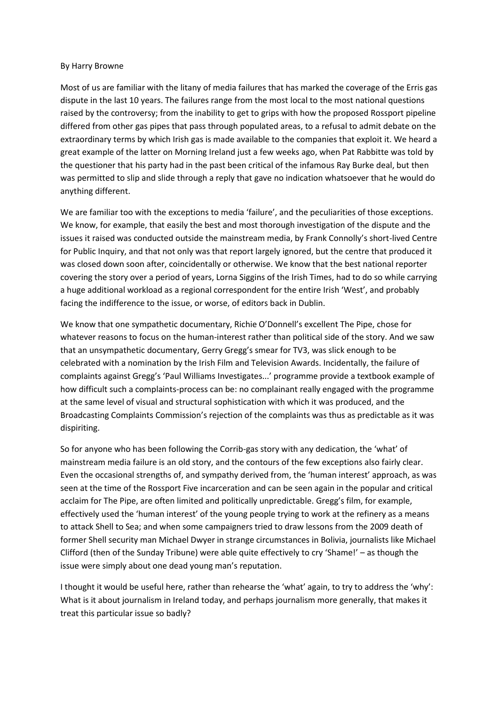#### By Harry Browne

Most of us are familiar with the litany of media failures that has marked the coverage of the Erris gas dispute in the last 10 years. The failures range from the most local to the most national questions raised by the controversy; from the inability to get to grips with how the proposed Rossport pipeline differed from other gas pipes that pass through populated areas, to a refusal to admit debate on the extraordinary terms by which Irish gas is made available to the companies that exploit it. We heard a great example of the latter on Morning Ireland just a few weeks ago, when Pat Rabbitte was told by the questioner that his party had in the past been critical of the infamous Ray Burke deal, but then was permitted to slip and slide through a reply that gave no indication whatsoever that he would do anything different.

We are familiar too with the exceptions to media 'failure', and the peculiarities of those exceptions. We know, for example, that easily the best and most thorough investigation of the dispute and the issues it raised was conducted outside the mainstream media, by Frank Connolly's short-lived Centre for Public Inquiry, and that not only was that report largely ignored, but the centre that produced it was closed down soon after, coincidentally or otherwise. We know that the best national reporter covering the story over a period of years, Lorna Siggins of the Irish Times, had to do so while carrying a huge additional workload as a regional correspondent for the entire Irish 'West', and probably facing the indifference to the issue, or worse, of editors back in Dublin.

We know that one sympathetic documentary, Richie O'Donnell's excellent The Pipe, chose for whatever reasons to focus on the human-interest rather than political side of the story. And we saw that an unsympathetic documentary, Gerry Gregg's smear for TV3, was slick enough to be celebrated with a nomination by the Irish Film and Television Awards. Incidentally, the failure of complaints against Gregg's 'Paul Williams Investigates...' programme provide a textbook example of how difficult such a complaints-process can be: no complainant really engaged with the programme at the same level of visual and structural sophistication with which it was produced, and the Broadcasting Complaints Commission's rejection of the complaints was thus as predictable as it was dispiriting.

So for anyone who has been following the Corrib-gas story with any dedication, the 'what' of mainstream media failure is an old story, and the contours of the few exceptions also fairly clear. Even the occasional strengths of, and sympathy derived from, the 'human interest' approach, as was seen at the time of the Rossport Five incarceration and can be seen again in the popular and critical acclaim for The Pipe, are often limited and politically unpredictable. Gregg's film, for example, effectively used the 'human interest' of the young people trying to work at the refinery as a means to attack Shell to Sea; and when some campaigners tried to draw lessons from the 2009 death of former Shell security man Michael Dwyer in strange circumstances in Bolivia, journalists like Michael Clifford (then of the Sunday Tribune) were able quite effectively to cry 'Shame!' – as though the issue were simply about one dead young man's reputation.

I thought it would be useful here, rather than rehearse the 'what' again, to try to address the 'why': What is it about journalism in Ireland today, and perhaps journalism more generally, that makes it treat this particular issue so badly?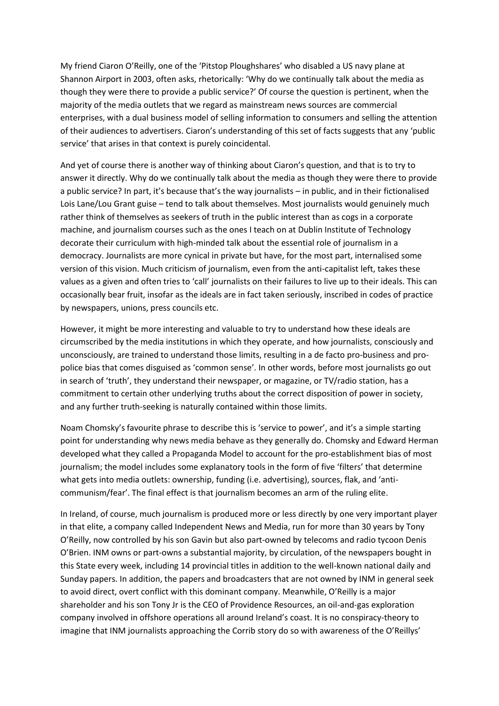My friend Ciaron O'Reilly, one of the 'Pitstop Ploughshares' who disabled a US navy plane at Shannon Airport in 2003, often asks, rhetorically: 'Why do we continually talk about the media as though they were there to provide a public service?' Of course the question is pertinent, when the majority of the media outlets that we regard as mainstream news sources are commercial enterprises, with a dual business model of selling information to consumers and selling the attention of their audiences to advertisers. Ciaron's understanding of this set of facts suggests that any 'public service' that arises in that context is purely coincidental.

And yet of course there is another way of thinking about Ciaron's question, and that is to try to answer it directly. Why do we continually talk about the media as though they were there to provide a public service? In part, it's because that's the way journalists – in public, and in their fictionalised Lois Lane/Lou Grant guise – tend to talk about themselves. Most journalists would genuinely much rather think of themselves as seekers of truth in the public interest than as cogs in a corporate machine, and journalism courses such as the ones I teach on at Dublin Institute of Technology decorate their curriculum with high-minded talk about the essential role of journalism in a democracy. Journalists are more cynical in private but have, for the most part, internalised some version of this vision. Much criticism of journalism, even from the anti-capitalist left, takes these values as a given and often tries to 'call' journalists on their failures to live up to their ideals. This can occasionally bear fruit, insofar as the ideals are in fact taken seriously, inscribed in codes of practice by newspapers, unions, press councils etc.

However, it might be more interesting and valuable to try to understand how these ideals are circumscribed by the media institutions in which they operate, and how journalists, consciously and unconsciously, are trained to understand those limits, resulting in a de facto pro-business and propolice bias that comes disguised as 'common sense'. In other words, before most journalists go out in search of 'truth', they understand their newspaper, or magazine, or TV/radio station, has a commitment to certain other underlying truths about the correct disposition of power in society, and any further truth-seeking is naturally contained within those limits.

Noam Chomsky's favourite phrase to describe this is 'service to power', and it's a simple starting point for understanding why news media behave as they generally do. Chomsky and Edward Herman developed what they called a Propaganda Model to account for the pro-establishment bias of most journalism; the model includes some explanatory tools in the form of five 'filters' that determine what gets into media outlets: ownership, funding (i.e. advertising), sources, flak, and 'anticommunism/fear'. The final effect is that journalism becomes an arm of the ruling elite.

In Ireland, of course, much journalism is produced more or less directly by one very important player in that elite, a company called Independent News and Media, run for more than 30 years by Tony O'Reilly, now controlled by his son Gavin but also part-owned by telecoms and radio tycoon Denis O'Brien. INM owns or part-owns a substantial majority, by circulation, of the newspapers bought in this State every week, including 14 provincial titles in addition to the well-known national daily and Sunday papers. In addition, the papers and broadcasters that are not owned by INM in general seek to avoid direct, overt conflict with this dominant company. Meanwhile, O'Reilly is a major shareholder and his son Tony Jr is the CEO of Providence Resources, an oil-and-gas exploration company involved in offshore operations all around Ireland's coast. It is no conspiracy-theory to imagine that INM journalists approaching the Corrib story do so with awareness of the O'Reillys'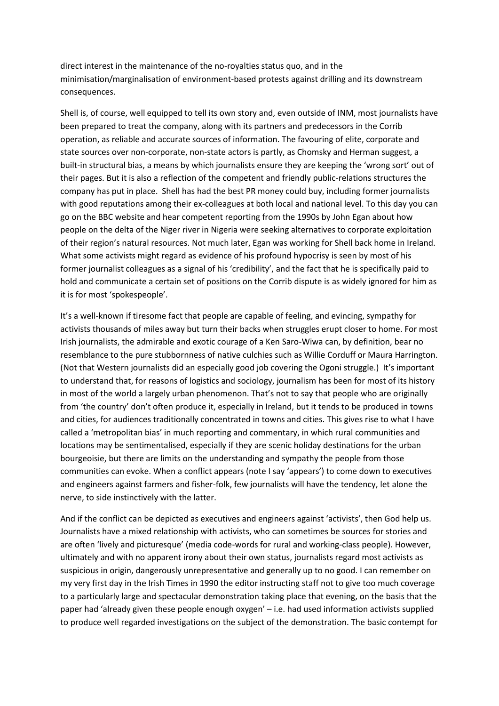direct interest in the maintenance of the no-royalties status quo, and in the minimisation/marginalisation of environment-based protests against drilling and its downstream consequences.

Shell is, of course, well equipped to tell its own story and, even outside of INM, most journalists have been prepared to treat the company, along with its partners and predecessors in the Corrib operation, as reliable and accurate sources of information. The favouring of elite, corporate and state sources over non-corporate, non-state actors is partly, as Chomsky and Herman suggest, a built-in structural bias, a means by which journalists ensure they are keeping the 'wrong sort' out of their pages. But it is also a reflection of the competent and friendly public-relations structures the company has put in place. Shell has had the best PR money could buy, including former journalists with good reputations among their ex-colleagues at both local and national level. To this day you can go on the BBC website and hear competent reporting from the 1990s by John Egan about how people on the delta of the Niger river in Nigeria were seeking alternatives to corporate exploitation of their region's natural resources. Not much later, Egan was working for Shell back home in Ireland. What some activists might regard as evidence of his profound hypocrisy is seen by most of his former journalist colleagues as a signal of his 'credibility', and the fact that he is specifically paid to hold and communicate a certain set of positions on the Corrib dispute is as widely ignored for him as it is for most 'spokespeople'.

It's a well-known if tiresome fact that people are capable of feeling, and evincing, sympathy for activists thousands of miles away but turn their backs when struggles erupt closer to home. For most Irish journalists, the admirable and exotic courage of a Ken Saro-Wiwa can, by definition, bear no resemblance to the pure stubbornness of native culchies such as Willie Corduff or Maura Harrington. (Not that Western journalists did an especially good job covering the Ogoni struggle.) It's important to understand that, for reasons of logistics and sociology, journalism has been for most of its history in most of the world a largely urban phenomenon. That's not to say that people who are originally from 'the country' don't often produce it, especially in Ireland, but it tends to be produced in towns and cities, for audiences traditionally concentrated in towns and cities. This gives rise to what I have called a 'metropolitan bias' in much reporting and commentary, in which rural communities and locations may be sentimentalised, especially if they are scenic holiday destinations for the urban bourgeoisie, but there are limits on the understanding and sympathy the people from those communities can evoke. When a conflict appears (note I say 'appears') to come down to executives and engineers against farmers and fisher-folk, few journalists will have the tendency, let alone the nerve, to side instinctively with the latter.

And if the conflict can be depicted as executives and engineers against 'activists', then God help us. Journalists have a mixed relationship with activists, who can sometimes be sources for stories and are often 'lively and picturesque' (media code-words for rural and working-class people). However, ultimately and with no apparent irony about their own status, journalists regard most activists as suspicious in origin, dangerously unrepresentative and generally up to no good. I can remember on my very first day in the Irish Times in 1990 the editor instructing staff not to give too much coverage to a particularly large and spectacular demonstration taking place that evening, on the basis that the paper had 'already given these people enough oxygen' – i.e. had used information activists supplied to produce well regarded investigations on the subject of the demonstration. The basic contempt for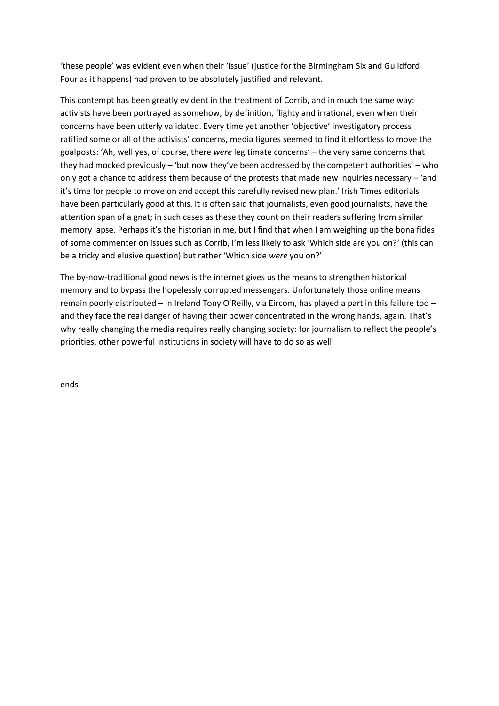'these people' was evident even when their 'issue' (justice for the Birmingham Six and Guildford Four as it happens) had proven to be absolutely justified and relevant.

This contempt has been greatly evident in the treatment of Corrib, and in much the same way: activists have been portrayed as somehow, by definition, flighty and irrational, even when their concerns have been utterly validated. Every time yet another 'objective' investigatory process ratified some or all of the activists' concerns, media figures seemed to find it effortless to move the goalposts: 'Ah, well yes, of course, there *were* legitimate concerns' – the very same concerns that they had mocked previously – 'but now they've been addressed by the competent authorities' – who only got a chance to address them because of the protests that made new inquiries necessary – 'and it's time for people to move on and accept this carefully revised new plan.' Irish Times editorials have been particularly good at this. It is often said that journalists, even good journalists, have the attention span of a gnat; in such cases as these they count on their readers suffering from similar memory lapse. Perhaps it's the historian in me, but I find that when I am weighing up the bona fides of some commenter on issues such as Corrib, I'm less likely to ask 'Which side are you on?' (this can be a tricky and elusive question) but rather 'Which side *were* you on?'

The by-now-traditional good news is the internet gives us the means to strengthen historical memory and to bypass the hopelessly corrupted messengers. Unfortunately those online means remain poorly distributed – in Ireland Tony O'Reilly, via Eircom, has played a part in this failure too – and they face the real danger of having their power concentrated in the wrong hands, again. That's why really changing the media requires really changing society: for journalism to reflect the people's priorities, other powerful institutions in society will have to do so as well.

ends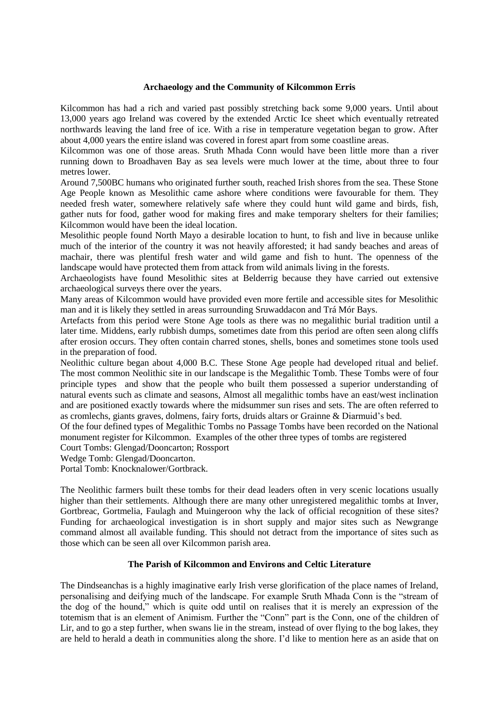### **Archaeology and the Community of Kilcommon Erris**

Kilcommon has had a rich and varied past possibly stretching back some 9,000 years. Until about 13,000 years ago Ireland was covered by the extended Arctic Ice sheet which eventually retreated northwards leaving the land free of ice. With a rise in temperature vegetation began to grow. After about 4,000 years the entire island was covered in forest apart from some coastline areas.

Kilcommon was one of those areas. Sruth Mhada Conn would have been little more than a river running down to Broadhaven Bay as sea levels were much lower at the time, about three to four metres lower.

Around 7,500BC humans who originated further south, reached Irish shores from the sea. These Stone Age People known as Mesolithic came ashore where conditions were favourable for them. They needed fresh water, somewhere relatively safe where they could hunt wild game and birds, fish, gather nuts for food, gather wood for making fires and make temporary shelters for their families; Kilcommon would have been the ideal location.

Mesolithic people found North Mayo a desirable location to hunt, to fish and live in because unlike much of the interior of the country it was not heavily afforested; it had sandy beaches and areas of machair, there was plentiful fresh water and wild game and fish to hunt. The openness of the landscape would have protected them from attack from wild animals living in the forests.

Archaeologists have found Mesolithic sites at Belderrig because they have carried out extensive archaeological surveys there over the years.

Many areas of Kilcommon would have provided even more fertile and accessible sites for Mesolithic man and it is likely they settled in areas surrounding Sruwaddacon and Trá Mór Bays.

Artefacts from this period were Stone Age tools as there was no megalithic burial tradition until a later time. Middens, early rubbish dumps, sometimes date from this period are often seen along cliffs after erosion occurs. They often contain charred stones, shells, bones and sometimes stone tools used in the preparation of food.

Neolithic culture began about 4,000 B.C. These Stone Age people had developed ritual and belief. The most common Neolithic site in our landscape is the Megalithic Tomb. These Tombs were of four principle types and show that the people who built them possessed a superior understanding of natural events such as climate and seasons, Almost all megalithic tombs have an east/west inclination and are positioned exactly towards where the midsummer sun rises and sets. The are often referred to as cromlechs, giants graves, dolmens, fairy forts, druids altars or Grainne & Diarmuid"s bed.

Of the four defined types of Megalithic Tombs no Passage Tombs have been recorded on the National monument register for Kilcommon. Examples of the other three types of tombs are registered

Court Tombs: Glengad/Dooncarton; Rossport

Wedge Tomb: Glengad/Dooncarton.

Portal Tomb: Knocknalower/Gortbrack.

The Neolithic farmers built these tombs for their dead leaders often in very scenic locations usually higher than their settlements. Although there are many other unregistered megalithic tombs at Inver, Gortbreac, Gortmelia, Faulagh and Muingeroon why the lack of official recognition of these sites? Funding for archaeological investigation is in short supply and major sites such as Newgrange command almost all available funding. This should not detract from the importance of sites such as those which can be seen all over Kilcommon parish area.

# **The Parish of Kilcommon and Environs and Celtic Literature**

The Dindseanchas is a highly imaginative early Irish verse glorification of the place names of Ireland, personalising and deifying much of the landscape. For example Sruth Mhada Conn is the "stream of the dog of the hound," which is quite odd until on realises that it is merely an expression of the totemism that is an element of Animism. Further the "Conn" part is the Conn, one of the children of Lir, and to go a step further, when swans lie in the stream, instead of over flying to the bog lakes, they are held to herald a death in communities along the shore. I"d like to mention here as an aside that on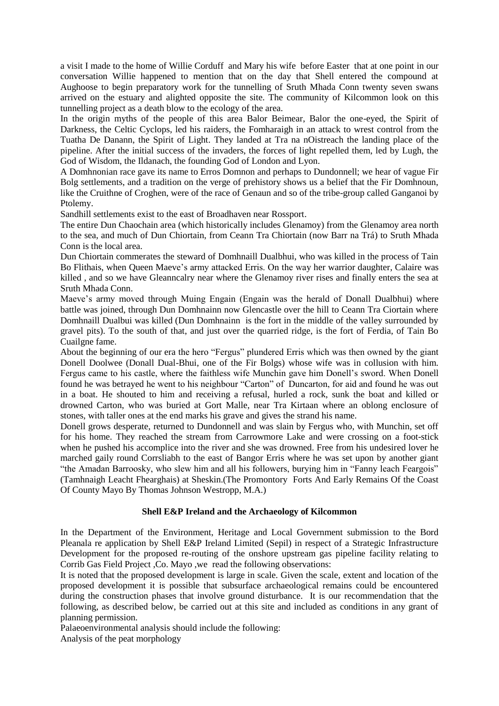a visit I made to the home of Willie Corduff and Mary his wife before Easter that at one point in our conversation Willie happened to mention that on the day that Shell entered the compound at Aughoose to begin preparatory work for the tunnelling of Sruth Mhada Conn twenty seven swans arrived on the estuary and alighted opposite the site. The community of Kilcommon look on this tunnelling project as a death blow to the ecology of the area.

In the origin myths of the people of this area Balor Beimear, Balor the one-eyed, the Spirit of Darkness, the Celtic Cyclops, led his raiders, the Fomharaigh in an attack to wrest control from the Tuatha De Danann, the Spirit of Light. They landed at Tra na nOistreach the landing place of the pipeline. After the initial success of the invaders, the forces of light repelled them, led by Lugh, the God of Wisdom, the Ildanach, the founding God of London and Lyon.

A Domhnonian race gave its name to Erros Domnon and perhaps to Dundonnell; we hear of vague Fir Bolg settlements, and a tradition on the verge of prehistory shows us a belief that the Fir Domhnoun, like the Cruithne of Croghen, were of the race of Genaun and so of the tribe-group called Ganganoi by Ptolemy.

Sandhill settlements exist to the east of Broadhaven near Rossport.

The entire Dun Chaochain area (which historically includes Glenamoy) from the Glenamoy area north to the sea, and much of Dun Chiortain, from Ceann Tra Chiortain (now Barr na Trá) to Sruth Mhada Conn is the local area.

Dun Chiortain commerates the steward of Domhnaill Dualbhui, who was killed in the process of Tain Bo Flithais, when Queen Maeve"s army attacked Erris. On the way her warrior daughter, Calaire was killed , and so we have Gleanncalry near where the Glenamoy river rises and finally enters the sea at Sruth Mhada Conn.

Maeve"s army moved through Muing Engain (Engain was the herald of Donall Dualbhui) where battle was joined, through Dun Domhnainn now Glencastle over the hill to Ceann Tra Ciortain where Domhnaill Dualbui was killed (Dun Domhnainn is the fort in the middle of the valley surrounded by gravel pits). To the south of that, and just over the quarried ridge, is the fort of Ferdia, of Tain Bo Cuailgne fame.

About the beginning of our era the hero "Fergus" plundered Erris which was then owned by the giant Donell Doolwee (Donall Dual-Bhui, one of the Fir Bolgs) whose wife was in collusion with him. Fergus came to his castle, where the faithless wife Munchin gave him Donell"s sword. When Donell found he was betrayed he went to his neighbour "Carton" of Duncarton, for aid and found he was out in a boat. He shouted to him and receiving a refusal, hurled a rock, sunk the boat and killed or drowned Carton, who was buried at Gort Malle, near Tra Kirtaan where an oblong enclosure of stones, with taller ones at the end marks his grave and gives the strand his name.

Donell grows desperate, returned to Dundonnell and was slain by Fergus who, with Munchin, set off for his home. They reached the stream from Carrowmore Lake and were crossing on a foot-stick when he pushed his accomplice into the river and she was drowned. Free from his undesired lover he marched gaily round Corrsliabh to the east of Bangor Erris where he was set upon by another giant "the Amadan Barroosky, who slew him and all his followers, burying him in "Fanny leach Feargois" (Tamhnaigh Leacht Fhearghais) at Sheskin.(The Promontory Forts And Early Remains Of the Coast Of County Mayo By Thomas Johnson Westropp, M.A.)

# **Shell E&P Ireland and the Archaeology of Kilcommon**

In the Department of the Environment, Heritage and Local Government submission to the Bord Pleanala re application by Shell [E&P](mailto:E@P) Ireland Limited (Sepil) in respect of a Strategic Infrastructure Development for the proposed re-routing of the onshore upstream gas pipeline facility relating to Corrib Gas Field Project ,Co. Mayo ,we read the following observations:

It is noted that the proposed development is large in scale. Given the scale, extent and location of the proposed development it is possible that subsurface archaeological remains could be encountered during the construction phases that involve ground disturbance. It is our recommendation that the following, as described below, be carried out at this site and included as conditions in any grant of planning permission.

Palaeoenvironmental analysis should include the following:

Analysis of the peat morphology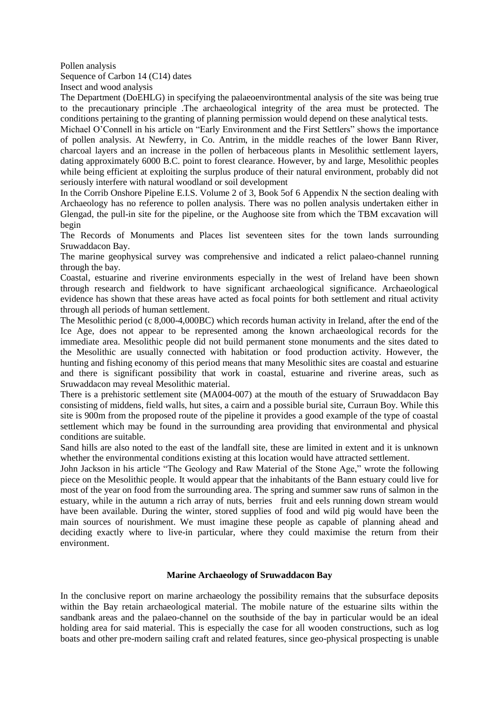Pollen analysis Sequence of Carbon 14 (C14) dates Insect and wood analysis

The Department (DoEHLG) in specifying the palaeoenvirontmental analysis of the site was being true to the precautionary principle .The archaeological integrity of the area must be protected. The conditions pertaining to the granting of planning permission would depend on these analytical tests.

Michael O"Connell in his article on "Early Environment and the First Settlers" shows the importance of pollen analysis. At Newferry, in Co. Antrim, in the middle reaches of the lower Bann River, charcoal layers and an increase in the pollen of herbaceous plants in Mesolithic settlement layers, dating approximately 6000 B.C. point to forest clearance. However, by and large, Mesolithic peoples while being efficient at exploiting the surplus produce of their natural environment, probably did not seriously interfere with natural woodland or soil development

In the Corrib Onshore Pipeline E.I.S. Volume 2 of 3, Book 5of 6 Appendix N the section dealing with Archaeology has no reference to pollen analysis. There was no pollen analysis undertaken either in Glengad, the pull-in site for the pipeline, or the Aughoose site from which the TBM excavation will begin

The Records of Monuments and Places list seventeen sites for the town lands surrounding Sruwaddacon Bay.

The marine geophysical survey was comprehensive and indicated a relict palaeo-channel running through the bay.

Coastal, estuarine and riverine environments especially in the west of Ireland have been shown through research and fieldwork to have significant archaeological significance. Archaeological evidence has shown that these areas have acted as focal points for both settlement and ritual activity through all periods of human settlement.

The Mesolithic period (c 8,000-4,000BC) which records human activity in Ireland, after the end of the Ice Age, does not appear to be represented among the known archaeological records for the immediate area. Mesolithic people did not build permanent stone monuments and the sites dated to the Mesolithic are usually connected with habitation or food production activity. However, the hunting and fishing economy of this period means that many Mesolithic sites are coastal and estuarine and there is significant possibility that work in coastal, estuarine and riverine areas, such as Sruwaddacon may reveal Mesolithic material.

There is a prehistoric settlement site (MA004-007) at the mouth of the estuary of Sruwaddacon Bay consisting of middens, field walls, hut sites, a cairn and a possible burial site, Curraun Boy. While this site is 900m from the proposed route of the pipeline it provides a good example of the type of coastal settlement which may be found in the surrounding area providing that environmental and physical conditions are suitable.

Sand hills are also noted to the east of the landfall site, these are limited in extent and it is unknown whether the environmental conditions existing at this location would have attracted settlement.

John Jackson in his article "The Geology and Raw Material of the Stone Age," wrote the following piece on the Mesolithic people. It would appear that the inhabitants of the Bann estuary could live for most of the year on food from the surrounding area. The spring and summer saw runs of salmon in the estuary, while in the autumn a rich array of nuts, berries fruit and eels running down stream would have been available. During the winter, stored supplies of food and wild pig would have been the main sources of nourishment. We must imagine these people as capable of planning ahead and deciding exactly where to live-in particular, where they could maximise the return from their environment.

# **Marine Archaeology of Sruwaddacon Bay**

In the conclusive report on marine archaeology the possibility remains that the subsurface deposits within the Bay retain archaeological material. The mobile nature of the estuarine silts within the sandbank areas and the palaeo-channel on the southside of the bay in particular would be an ideal holding area for said material. This is especially the case for all wooden constructions, such as log boats and other pre-modern sailing craft and related features, since geo-physical prospecting is unable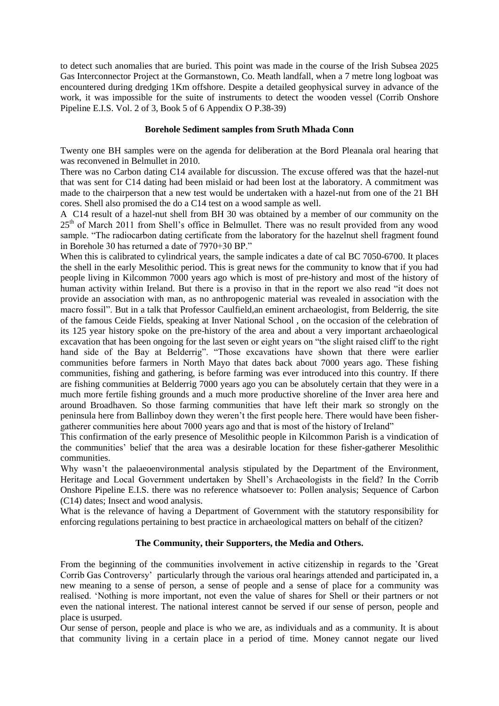to detect such anomalies that are buried. This point was made in the course of the Irish Subsea 2025 Gas Interconnector Project at the Gormanstown, Co. Meath landfall, when a 7 metre long logboat was encountered during dredging 1Km offshore. Despite a detailed geophysical survey in advance of the work, it was impossible for the suite of instruments to detect the wooden vessel (Corrib Onshore Pipeline E.I.S. Vol. 2 of 3, Book 5 of 6 Appendix O P.38-39)

# **Borehole Sediment samples from Sruth Mhada Conn**

Twenty one BH samples were on the agenda for deliberation at the Bord Pleanala oral hearing that was reconvened in Belmullet in 2010.

There was no Carbon dating C14 available for discussion. The excuse offered was that the hazel-nut that was sent for C14 dating had been mislaid or had been lost at the laboratory. A commitment was made to the chairperson that a new test would be undertaken with a hazel-nut from one of the 21 BH cores. Shell also promised the do a C14 test on a wood sample as well.

A C14 result of a hazel-nut shell from BH 30 was obtained by a member of our community on the 25<sup>th</sup> of March 2011 from Shell's office in Belmullet. There was no result provided from any wood sample. "The radiocarbon dating certificate from the laboratory for the hazelnut shell fragment found in Borehole 30 has returned a date of 7970+30 BP."

When this is calibrated to cylindrical years, the sample indicates a date of cal BC 7050-6700. It places the shell in the early Mesolithic period. This is great news for the community to know that if you had people living in Kilcommon 7000 years ago which is most of pre-history and most of the history of human activity within Ireland. But there is a proviso in that in the report we also read "it does not provide an association with man, as no anthropogenic material was revealed in association with the macro fossil". But in a talk that Professor Caulfield,an eminent archaeologist, from Belderrig, the site of the famous Ceide Fields, speaking at Inver National School , on the occasion of the celebration of its 125 year history spoke on the pre-history of the area and about a very important archaeological excavation that has been ongoing for the last seven or eight years on "the slight raised cliff to the right hand side of the Bay at Belderrig". "Those excavations have shown that there were earlier communities before farmers in North Mayo that dates back about 7000 years ago. These fishing communities, fishing and gathering, is before farming was ever introduced into this country. If there are fishing communities at Belderrig 7000 years ago you can be absolutely certain that they were in a much more fertile fishing grounds and a much more productive shoreline of the Inver area here and around Broadhaven. So those farming communities that have left their mark so strongly on the peninsula here from Ballinboy down they weren"t the first people here. There would have been fishergatherer communities here about 7000 years ago and that is most of the history of Ireland"

This confirmation of the early presence of Mesolithic people in Kilcommon Parish is a vindication of the communities" belief that the area was a desirable location for these fisher-gatherer Mesolithic communities.

Why wasn't the palaeoenvironmental analysis stipulated by the Department of the Environment, Heritage and Local Government undertaken by Shell"s Archaeologists in the field? In the Corrib Onshore Pipeline E.I.S. there was no reference whatsoever to: Pollen analysis; Sequence of Carbon (C14) dates; Insect and wood analysis.

What is the relevance of having a Department of Government with the statutory responsibility for enforcing regulations pertaining to best practice in archaeological matters on behalf of the citizen?

# **The Community, their Supporters, the Media and Others.**

From the beginning of the communities involvement in active citizenship in regards to the "Great Corrib Gas Controversy" particularly through the various oral hearings attended and participated in, a new meaning to a sense of person, a sense of people and a sense of place for a community was realised. "Nothing is more important, not even the value of shares for Shell or their partners or not even the national interest. The national interest cannot be served if our sense of person, people and place is usurped.

Our sense of person, people and place is who we are, as individuals and as a community. It is about that community living in a certain place in a period of time. Money cannot negate our lived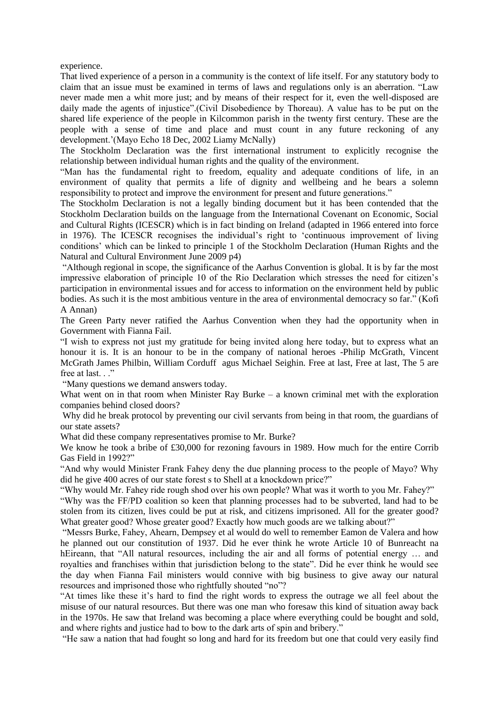experience.

That lived experience of a person in a community is the context of life itself. For any statutory body to claim that an issue must be examined in terms of laws and regulations only is an aberration. "Law never made men a whit more just; and by means of their respect for it, even the well-disposed are daily made the agents of injustice".(Civil Disobedience by Thoreau). A value has to be put on the shared life experience of the people in Kilcommon parish in the twenty first century. These are the people with a sense of time and place and must count in any future reckoning of any development."(Mayo Echo 18 Dec, 2002 Liamy McNally)

The Stockholm Declaration was the first international instrument to explicitly recognise the relationship between individual human rights and the quality of the environment.

"Man has the fundamental right to freedom, equality and adequate conditions of life, in an environment of quality that permits a life of dignity and wellbeing and he bears a solemn responsibility to protect and improve the environment for present and future generations."

The Stockholm Declaration is not a legally binding document but it has been contended that the Stockholm Declaration builds on the language from the International Covenant on Economic, Social and Cultural Rights (ICESCR) which is in fact binding on Ireland (adapted in 1966 entered into force in 1976). The ICESCR recognises the individual"s right to "continuous improvement of living conditions" which can be linked to principle 1 of the Stockholm Declaration (Human Rights and the Natural and Cultural Environment June 2009 p4)

"Although regional in scope, the significance of the Aarhus Convention is global. It is by far the most impressive elaboration of principle 10 of the Rio Declaration which stresses the need for citizen"s participation in environmental issues and for access to information on the environment held by public bodies. As such it is the most ambitious venture in the area of environmental democracy so far." (Kofi A Annan)

The Green Party never ratified the Aarhus Convention when they had the opportunity when in Government with Fianna Fail.

"I wish to express not just my gratitude for being invited along here today, but to express what an honour it is. It is an honour to be in the company of national heroes -Philip McGrath, Vincent McGrath James Philbin, William Corduff agus Michael Seighin. Free at last, Free at last, The 5 are free at last. . ."

"Many questions we demand answers today.

What went on in that room when Minister Ray Burke – a known criminal met with the exploration companies behind closed doors?

Why did he break protocol by preventing our civil servants from being in that room, the guardians of our state assets?

What did these company representatives promise to Mr. Burke?

We know he took a bribe of £30,000 for rezoning favours in 1989. How much for the entire Corrib Gas Field in 1992?"

"And why would Minister Frank Fahey deny the due planning process to the people of Mayo? Why did he give 400 acres of our state forest s to Shell at a knockdown price?"

"Why would Mr. Fahey ride rough shod over his own people? What was it worth to you Mr. Fahey?"

"Why was the FF/PD coalition so keen that planning processes had to be subverted, land had to be stolen from its citizen, lives could be put at risk, and citizens imprisoned. All for the greater good? What greater good? Whose greater good? Exactly how much goods are we talking about?"

"Messrs Burke, Fahey, Ahearn, Dempsey et al would do well to remember Eamon de Valera and how he planned out our constitution of 1937. Did he ever think he wrote Article 10 of Bunreacht na hEireann, that "All natural resources, including the air and all forms of potential energy … and royalties and franchises within that jurisdiction belong to the state". Did he ever think he would see the day when Fianna Fail ministers would connive with big business to give away our natural resources and imprisoned those who rightfully shouted "no"?

"At times like these it"s hard to find the right words to express the outrage we all feel about the misuse of our natural resources. But there was one man who foresaw this kind of situation away back in the 1970s. He saw that Ireland was becoming a place where everything could be bought and sold, and where rights and justice had to bow to the dark arts of spin and bribery."

"He saw a nation that had fought so long and hard for its freedom but one that could very easily find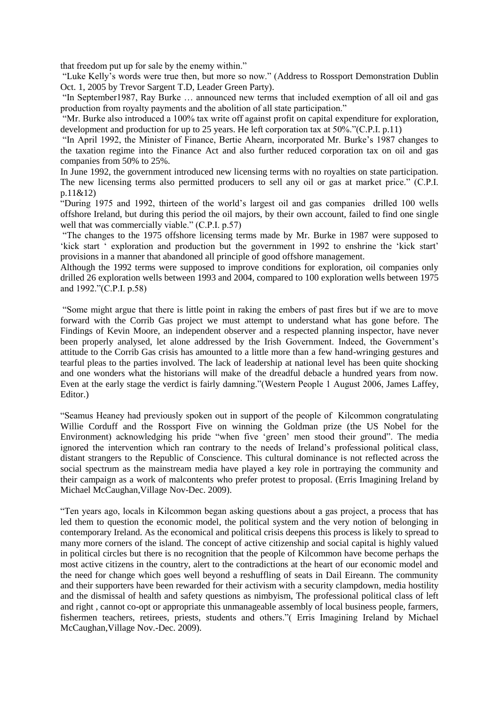that freedom put up for sale by the enemy within."

"Luke Kelly"s words were true then, but more so now." (Address to Rossport Demonstration Dublin Oct. 1, 2005 by Trevor Sargent T.D, Leader Green Party).

"In September1987, Ray Burke … announced new terms that included exemption of all oil and gas production from royalty payments and the abolition of all state participation."

"Mr. Burke also introduced a 100% tax write off against profit on capital expenditure for exploration, development and production for up to 25 years. He left corporation tax at 50%."(C.P.I. p.11)

"In April 1992, the Minister of Finance, Bertie Ahearn, incorporated Mr. Burke"s 1987 changes to the taxation regime into the Finance Act and also further reduced corporation tax on oil and gas companies from 50% to 25%.

In June 1992, the government introduced new licensing terms with no royalties on state participation. The new licensing terms also permitted producers to sell any oil or gas at market price." (C.P.I. p.11&12)

"During 1975 and 1992, thirteen of the world"s largest oil and gas companies drilled 100 wells offshore Ireland, but during this period the oil majors, by their own account, failed to find one single well that was commercially viable." (C.P.I. p.57)

"The changes to the 1975 offshore licensing terms made by Mr. Burke in 1987 were supposed to 'kick start ' exploration and production but the government in 1992 to enshrine the 'kick start' provisions in a manner that abandoned all principle of good offshore management.

Although the 1992 terms were supposed to improve conditions for exploration, oil companies only drilled 26 exploration wells between 1993 and 2004, compared to 100 exploration wells between 1975 and 1992."(C.P.I. p.58)

"Some might argue that there is little point in raking the embers of past fires but if we are to move forward with the Corrib Gas project we must attempt to understand what has gone before. The Findings of Kevin Moore, an independent observer and a respected planning inspector, have never been properly analysed, let alone addressed by the Irish Government. Indeed, the Government's attitude to the Corrib Gas crisis has amounted to a little more than a few hand-wringing gestures and tearful pleas to the parties involved. The lack of leadership at national level has been quite shocking and one wonders what the historians will make of the dreadful debacle a hundred years from now. Even at the early stage the verdict is fairly damning."(Western People 1 August 2006, James Laffey, Editor.)

"Seamus Heaney had previously spoken out in support of the people of Kilcommon congratulating Willie Corduff and the Rossport Five on winning the Goldman prize (the US Nobel for the Environment) acknowledging his pride "when five 'green' men stood their ground". The media ignored the intervention which ran contrary to the needs of Ireland"s professional political class, distant strangers to the Republic of Conscience. This cultural dominance is not reflected across the social spectrum as the mainstream media have played a key role in portraying the community and their campaign as a work of malcontents who prefer protest to proposal. (Erris Imagining Ireland by Michael McCaughan,Village Nov-Dec. 2009).

"Ten years ago, locals in Kilcommon began asking questions about a gas project, a process that has led them to question the economic model, the political system and the very notion of belonging in contemporary Ireland. As the economical and political crisis deepens this process is likely to spread to many more corners of the island. The concept of active citizenship and social capital is highly valued in political circles but there is no recognition that the people of Kilcommon have become perhaps the most active citizens in the country, alert to the contradictions at the heart of our economic model and the need for change which goes well beyond a reshuffling of seats in Dail Eireann. The community and their supporters have been rewarded for their activism with a security clampdown, media hostility and the dismissal of health and safety questions as nimbyism, The professional political class of left and right , cannot co-opt or appropriate this unmanageable assembly of local business people, farmers, fishermen teachers, retirees, priests, students and others."( Erris Imagining Ireland by Michael McCaughan,Village Nov.-Dec. 2009).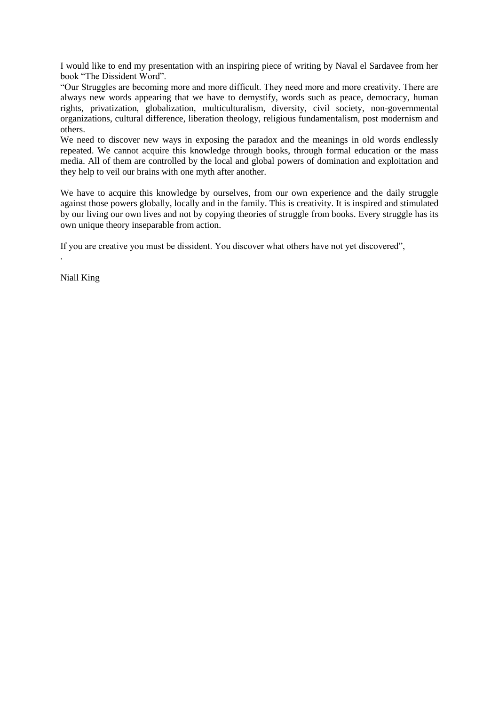I would like to end my presentation with an inspiring piece of writing by Naval el Sardavee from her book "The Dissident Word".

"Our Struggles are becoming more and more difficult. They need more and more creativity. There are always new words appearing that we have to demystify, words such as peace, democracy, human rights, privatization, globalization, multiculturalism, diversity, civil society, non-governmental organizations, cultural difference, liberation theology, religious fundamentalism, post modernism and others.

We need to discover new ways in exposing the paradox and the meanings in old words endlessly repeated. We cannot acquire this knowledge through books, through formal education or the mass media. All of them are controlled by the local and global powers of domination and exploitation and they help to veil our brains with one myth after another.

We have to acquire this knowledge by ourselves, from our own experience and the daily struggle against those powers globally, locally and in the family. This is creativity. It is inspired and stimulated by our living our own lives and not by copying theories of struggle from books. Every struggle has its own unique theory inseparable from action.

If you are creative you must be dissident. You discover what others have not yet discovered",

Niall King

.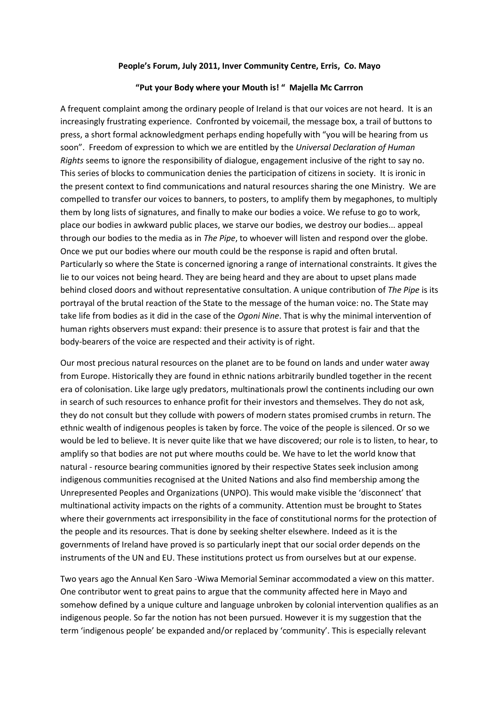#### **People's Forum, July 2011, Inver Community Centre, Erris, Co. Mayo**

#### **"Put your Body where your Mouth is! " Majella Mc Carrron**

A frequent complaint among the ordinary people of Ireland is that our voices are not heard. It is an increasingly frustrating experience. Confronted by voicemail, the message box, a trail of buttons to press, a short formal acknowledgment perhaps ending hopefully with "you will be hearing from us soon". Freedom of expression to which we are entitled by the *Universal Declaration of Human Rights* seems to ignore the responsibility of dialogue, engagement inclusive of the right to say no. This series of blocks to communication denies the participation of citizens in society. It is ironic in the present context to find communications and natural resources sharing the one Ministry. We are compelled to transfer our voices to banners, to posters, to amplify them by megaphones, to multiply them by long lists of signatures, and finally to make our bodies a voice. We refuse to go to work, place our bodies in awkward public places, we starve our bodies, we destroy our bodies... appeal through our bodies to the media as in *The Pipe*, to whoever will listen and respond over the globe. Once we put our bodies where our mouth could be the response is rapid and often brutal. Particularly so where the State is concerned ignoring a range of international constraints. It gives the lie to our voices not being heard. They are being heard and they are about to upset plans made behind closed doors and without representative consultation. A unique contribution of *The Pipe* is its portrayal of the brutal reaction of the State to the message of the human voice: no. The State may take life from bodies as it did in the case of the *Ogoni Nine*. That is why the minimal intervention of human rights observers must expand: their presence is to assure that protest is fair and that the body-bearers of the voice are respected and their activity is of right.

Our most precious natural resources on the planet are to be found on lands and under water away from Europe. Historically they are found in ethnic nations arbitrarily bundled together in the recent era of colonisation. Like large ugly predators, multinationals prowl the continents including our own in search of such resources to enhance profit for their investors and themselves. They do not ask, they do not consult but they collude with powers of modern states promised crumbs in return. The ethnic wealth of indigenous peoples is taken by force. The voice of the people is silenced. Or so we would be led to believe. It is never quite like that we have discovered; our role is to listen, to hear, to amplify so that bodies are not put where mouths could be. We have to let the world know that natural - resource bearing communities ignored by their respective States seek inclusion among indigenous communities recognised at the United Nations and also find membership among the Unrepresented Peoples and Organizations (UNPO). This would make visible the 'disconnect' that multinational activity impacts on the rights of a community. Attention must be brought to States where their governments act irresponsibility in the face of constitutional norms for the protection of the people and its resources. That is done by seeking shelter elsewhere. Indeed as it is the governments of Ireland have proved is so particularly inept that our social order depends on the instruments of the UN and EU. These institutions protect us from ourselves but at our expense.

Two years ago the Annual Ken Saro -Wiwa Memorial Seminar accommodated a view on this matter. One contributor went to great pains to argue that the community affected here in Mayo and somehow defined by a unique culture and language unbroken by colonial intervention qualifies as an indigenous people. So far the notion has not been pursued. However it is my suggestion that the term 'indigenous people' be expanded and/or replaced by 'community'. This is especially relevant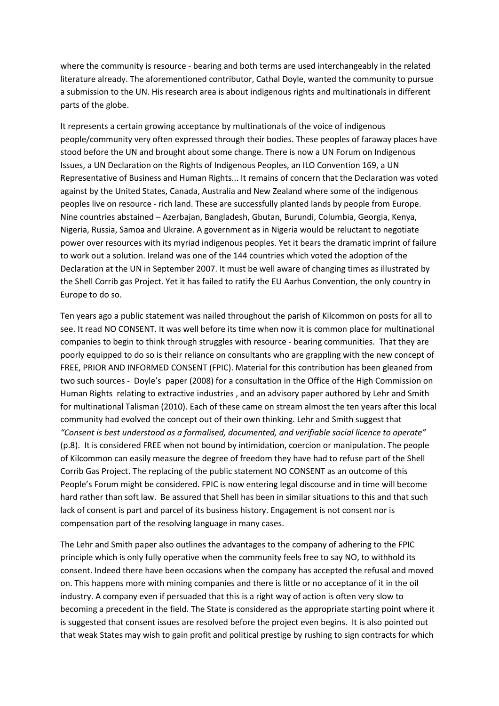where the community is resource - bearing and both terms are used interchangeably in the related literature already. The aforementioned contributor, Cathal Doyle, wanted the community to pursue a submission to the UN. His research area is about indigenous rights and multinationals in different parts of the globe.

It represents a certain growing acceptance by multinationals of the voice of indigenous people/community very often expressed through their bodies. These peoples of faraway places have stood before the UN and brought about some change. There is now a UN Forum on Indigenous Issues, a UN Declaration on the Rights of Indigenous Peoples, an ILO Convention 169, a UN Representative of Business and Human Rights... It remains of concern that the Declaration was voted against by the United States, Canada, Australia and New Zealand where some of the indigenous peoples live on resource - rich land. These are successfully planted lands by people from Europe. Nine countries abstained – Azerbajan, Bangladesh, Gbutan, Burundi, Columbia, Georgia, Kenya, Nigeria, Russia, Samoa and Ukraine. A government as in Nigeria would be reluctant to negotiate power over resources with its myriad indigenous peoples. Yet it bears the dramatic imprint of failure to work out a solution. Ireland was one of the 144 countries which voted the adoption of the Declaration at the UN in September 2007. It must be well aware of changing times as illustrated by the Shell Corrib gas Project. Yet it has failed to ratify the EU Aarhus Convention, the only country in Europe to do so.

Ten years ago a public statement was nailed throughout the parish of Kilcommon on posts for all to see. It read NO CONSENT. It was well before its time when now it is common place for multinational companies to begin to think through struggles with resource - bearing communities. That they are poorly equipped to do so is their reliance on consultants who are grappling with the new concept of FREE, PRIOR AND INFORMED CONSENT (FPIC). Material for this contribution has been gleaned from two such sources - Doyle's paper (2008) for a consultation in the Office of the High Commission on Human Rights relating to extractive industries , and an advisory paper authored by Lehr and Smith for multinational Talisman (2010). Each of these came on stream almost the ten years after this local community had evolved the concept out of their own thinking. Lehr and Smith suggest that *"Consent is best understood as a formalised, documented, and verifiable social licence to operate"* (p.8). It is considered FREE when not bound by intimidation, coercion or manipulation. The people of Kilcommon can easily measure the degree of freedom they have had to refuse part of the Shell Corrib Gas Project. The replacing of the public statement NO CONSENT as an outcome of this People's Forum might be considered. FPIC is now entering legal discourse and in time will become hard rather than soft law. Be assured that Shell has been in similar situations to this and that such lack of consent is part and parcel of its business history. Engagement is not consent nor is compensation part of the resolving language in many cases.

The Lehr and Smith paper also outlines the advantages to the company of adhering to the FPIC principle which is only fully operative when the community feels free to say NO, to withhold its consent. Indeed there have been occasions when the company has accepted the refusal and moved on. This happens more with mining companies and there is little or no acceptance of it in the oil industry. A company even if persuaded that this is a right way of action is often very slow to becoming a precedent in the field. The State is considered as the appropriate starting point where it is suggested that consent issues are resolved before the project even begins. It is also pointed out that weak States may wish to gain profit and political prestige by rushing to sign contracts for which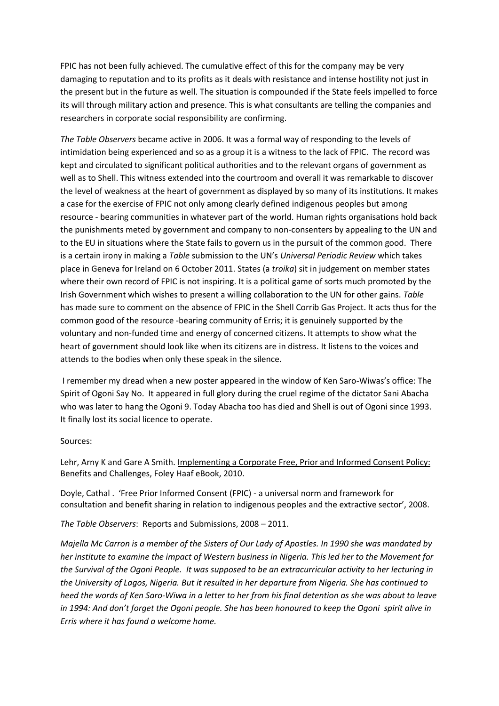FPIC has not been fully achieved. The cumulative effect of this for the company may be very damaging to reputation and to its profits as it deals with resistance and intense hostility not just in the present but in the future as well. The situation is compounded if the State feels impelled to force its will through military action and presence. This is what consultants are telling the companies and researchers in corporate social responsibility are confirming.

*The Table Observers* became active in 2006. It was a formal way of responding to the levels of intimidation being experienced and so as a group it is a witness to the lack of FPIC. The record was kept and circulated to significant political authorities and to the relevant organs of government as well as to Shell. This witness extended into the courtroom and overall it was remarkable to discover the level of weakness at the heart of government as displayed by so many of its institutions. It makes a case for the exercise of FPIC not only among clearly defined indigenous peoples but among resource - bearing communities in whatever part of the world. Human rights organisations hold back the punishments meted by government and company to non-consenters by appealing to the UN and to the EU in situations where the State fails to govern us in the pursuit of the common good. There is a certain irony in making a *Table* submission to the UN's *Universal Periodic Review* which takes place in Geneva for Ireland on 6 October 2011. States (a *troika*) sit in judgement on member states where their own record of FPIC is not inspiring. It is a political game of sorts much promoted by the Irish Government which wishes to present a willing collaboration to the UN for other gains. *Table* has made sure to comment on the absence of FPIC in the Shell Corrib Gas Project. It acts thus for the common good of the resource -bearing community of Erris; it is genuinely supported by the voluntary and non-funded time and energy of concerned citizens. It attempts to show what the heart of government should look like when its citizens are in distress. It listens to the voices and attends to the bodies when only these speak in the silence.

I remember my dread when a new poster appeared in the window of Ken Saro-Wiwas's office: The Spirit of Ogoni Say No. It appeared in full glory during the cruel regime of the dictator Sani Abacha who was later to hang the Ogoni 9. Today Abacha too has died and Shell is out of Ogoni since 1993. It finally lost its social licence to operate.

# Sources:

Lehr, Arny K and Gare A Smith. Implementing a Corporate Free, Prior and Informed Consent Policy: Benefits and Challenges, Foley Haaf eBook, 2010.

Doyle, Cathal . 'Free Prior Informed Consent (FPIC) - a universal norm and framework for consultation and benefit sharing in relation to indigenous peoples and the extractive sector', 2008.

*The Table Observers*: Reports and Submissions, 2008 – 2011.

*Majella Mc Carron is a member of the Sisters of Our Lady of Apostles. In 1990 she was mandated by her institute to examine the impact of Western business in Nigeria. This led her to the Movement for the Survival of the Ogoni People. It was supposed to be an extracurricular activity to her lecturing in the University of Lagos, Nigeria. But it resulted in her departure from Nigeria. She has continued to heed the words of Ken Saro-Wiwa in a letter to her from his final detention as she was about to leave in 1994: And don't forget the Ogoni people. She has been honoured to keep the Ogoni spirit alive in Erris where it has found a welcome home.*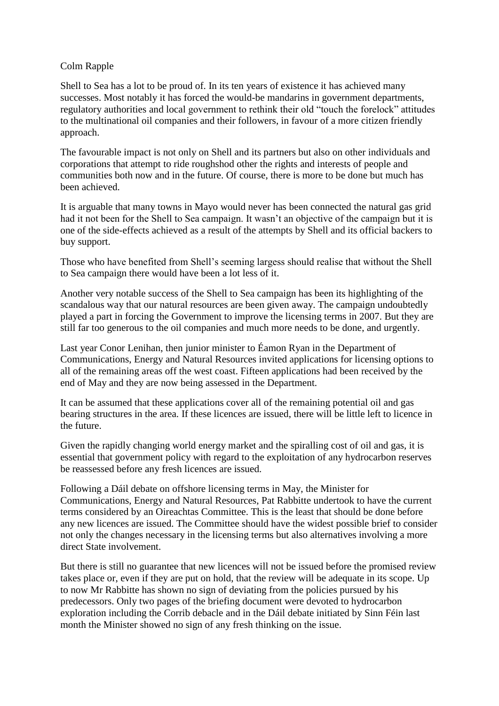# Colm Rapple

Shell to Sea has a lot to be proud of. In its ten years of existence it has achieved many successes. Most notably it has forced the would-be mandarins in government departments, regulatory authorities and local government to rethink their old "touch the forelock" attitudes to the multinational oil companies and their followers, in favour of a more citizen friendly approach.

The favourable impact is not only on Shell and its partners but also on other individuals and corporations that attempt to ride roughshod other the rights and interests of people and communities both now and in the future. Of course, there is more to be done but much has been achieved.

It is arguable that many towns in Mayo would never has been connected the natural gas grid had it not been for the Shell to Sea campaign. It wasn't an objective of the campaign but it is one of the side-effects achieved as a result of the attempts by Shell and its official backers to buy support.

Those who have benefited from Shell"s seeming largess should realise that without the Shell to Sea campaign there would have been a lot less of it.

Another very notable success of the Shell to Sea campaign has been its highlighting of the scandalous way that our natural resources are been given away. The campaign undoubtedly played a part in forcing the Government to improve the licensing terms in 2007. But they are still far too generous to the oil companies and much more needs to be done, and urgently.

Last year Conor Lenihan, then junior minister to Éamon Ryan in the Department of Communications, Energy and Natural Resources invited applications for licensing options to all of the remaining areas off the west coast. Fifteen applications had been received by the end of May and they are now being assessed in the Department.

It can be assumed that these applications cover all of the remaining potential oil and gas bearing structures in the area. If these licences are issued, there will be little left to licence in the future.

Given the rapidly changing world energy market and the spiralling cost of oil and gas, it is essential that government policy with regard to the exploitation of any hydrocarbon reserves be reassessed before any fresh licences are issued.

Following a Dáil debate on offshore licensing terms in May, the Minister for Communications, Energy and Natural Resources, Pat Rabbitte undertook to have the current terms considered by an Oireachtas Committee. This is the least that should be done before any new licences are issued. The Committee should have the widest possible brief to consider not only the changes necessary in the licensing terms but also alternatives involving a more direct State involvement.

But there is still no guarantee that new licences will not be issued before the promised review takes place or, even if they are put on hold, that the review will be adequate in its scope. Up to now Mr Rabbitte has shown no sign of deviating from the policies pursued by his predecessors. Only two pages of the briefing document were devoted to hydrocarbon exploration including the Corrib debacle and in the Dáil debate initiated by Sinn Féin last month the Minister showed no sign of any fresh thinking on the issue.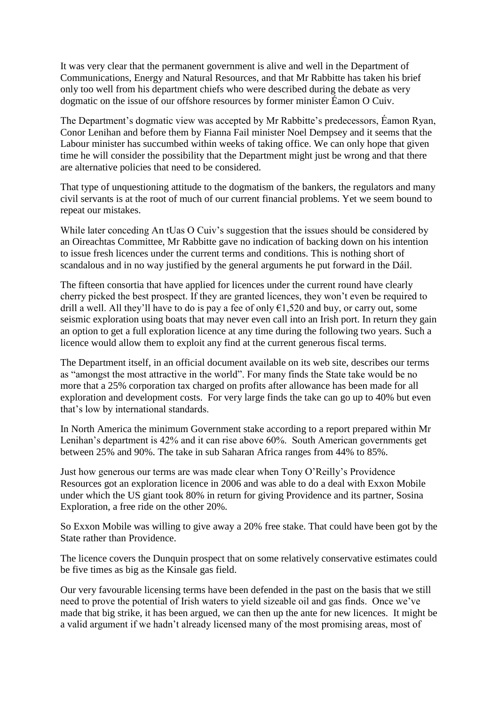It was very clear that the permanent government is alive and well in the Department of Communications, Energy and Natural Resources, and that Mr Rabbitte has taken his brief only too well from his department chiefs who were described during the debate as very dogmatic on the issue of our offshore resources by former minister Éamon O Cuiv.

The Department's dogmatic view was accepted by Mr Rabbitte's predecessors, Éamon Ryan, Conor Lenihan and before them by Fianna Fail minister Noel Dempsey and it seems that the Labour minister has succumbed within weeks of taking office. We can only hope that given time he will consider the possibility that the Department might just be wrong and that there are alternative policies that need to be considered.

That type of unquestioning attitude to the dogmatism of the bankers, the regulators and many civil servants is at the root of much of our current financial problems. Yet we seem bound to repeat our mistakes.

While later conceding An tUas O Cuiv's suggestion that the issues should be considered by an Oireachtas Committee, Mr Rabbitte gave no indication of backing down on his intention to issue fresh licences under the current terms and conditions. This is nothing short of scandalous and in no way justified by the general arguments he put forward in the Dáil.

The fifteen consortia that have applied for licences under the current round have clearly cherry picked the best prospect. If they are granted licences, they won"t even be required to drill a well. All they'll have to do is pay a fee of only  $\epsilon$ 1,520 and buy, or carry out, some seismic exploration using boats that may never even call into an Irish port. In return they gain an option to get a full exploration licence at any time during the following two years. Such a licence would allow them to exploit any find at the current generous fiscal terms.

The Department itself, in an official document available on its web site, describes our terms as "amongst the most attractive in the world". For many finds the State take would be no more that a 25% corporation tax charged on profits after allowance has been made for all exploration and development costs. For very large finds the take can go up to 40% but even that"s low by international standards.

In North America the minimum Government stake according to a report prepared within Mr Lenihan"s department is 42% and it can rise above 60%. South American governments get between 25% and 90%. The take in sub Saharan Africa ranges from 44% to 85%.

Just how generous our terms are was made clear when Tony O"Reilly"s Providence Resources got an exploration licence in 2006 and was able to do a deal with Exxon Mobile under which the US giant took 80% in return for giving Providence and its partner, Sosina Exploration, a free ride on the other 20%.

So Exxon Mobile was willing to give away a 20% free stake. That could have been got by the State rather than Providence.

The licence covers the Dunquin prospect that on some relatively conservative estimates could be five times as big as the Kinsale gas field.

Our very favourable licensing terms have been defended in the past on the basis that we still need to prove the potential of Irish waters to yield sizeable oil and gas finds. Once we've made that big strike, it has been argued, we can then up the ante for new licences. It might be a valid argument if we hadn"t already licensed many of the most promising areas, most of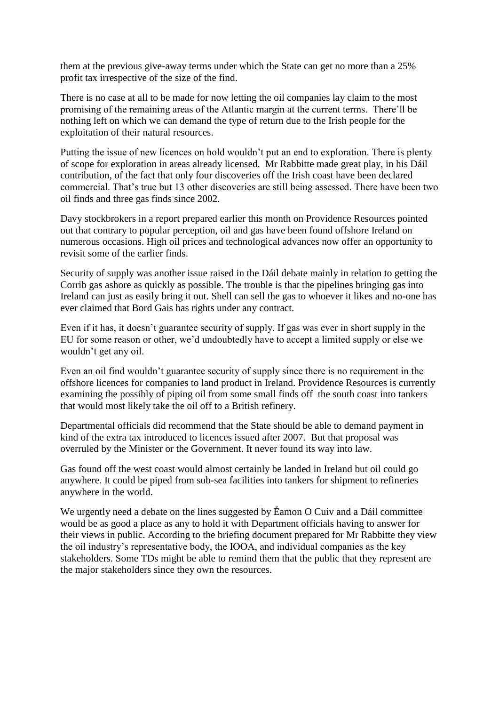them at the previous give-away terms under which the State can get no more than a 25% profit tax irrespective of the size of the find.

There is no case at all to be made for now letting the oil companies lay claim to the most promising of the remaining areas of the Atlantic margin at the current terms. There"ll be nothing left on which we can demand the type of return due to the Irish people for the exploitation of their natural resources.

Putting the issue of new licences on hold wouldn"t put an end to exploration. There is plenty of scope for exploration in areas already licensed. Mr Rabbitte made great play, in his Dáil contribution, of the fact that only four discoveries off the Irish coast have been declared commercial. That"s true but 13 other discoveries are still being assessed. There have been two oil finds and three gas finds since 2002.

Davy stockbrokers in a report prepared earlier this month on Providence Resources pointed out that contrary to popular perception, oil and gas have been found offshore Ireland on numerous occasions. High oil prices and technological advances now offer an opportunity to revisit some of the earlier finds.

Security of supply was another issue raised in the Dáil debate mainly in relation to getting the Corrib gas ashore as quickly as possible. The trouble is that the pipelines bringing gas into Ireland can just as easily bring it out. Shell can sell the gas to whoever it likes and no-one has ever claimed that Bord Gais has rights under any contract.

Even if it has, it doesn"t guarantee security of supply. If gas was ever in short supply in the EU for some reason or other, we"d undoubtedly have to accept a limited supply or else we wouldn"t get any oil.

Even an oil find wouldn"t guarantee security of supply since there is no requirement in the offshore licences for companies to land product in Ireland. Providence Resources is currently examining the possibly of piping oil from some small finds off the south coast into tankers that would most likely take the oil off to a British refinery.

Departmental officials did recommend that the State should be able to demand payment in kind of the extra tax introduced to licences issued after 2007. But that proposal was overruled by the Minister or the Government. It never found its way into law.

Gas found off the west coast would almost certainly be landed in Ireland but oil could go anywhere. It could be piped from sub-sea facilities into tankers for shipment to refineries anywhere in the world.

We urgently need a debate on the lines suggested by Éamon O Cuiv and a Dáil committee would be as good a place as any to hold it with Department officials having to answer for their views in public. According to the briefing document prepared for Mr Rabbitte they view the oil industry"s representative body, the IOOA, and individual companies as the key stakeholders. Some TDs might be able to remind them that the public that they represent are the major stakeholders since they own the resources.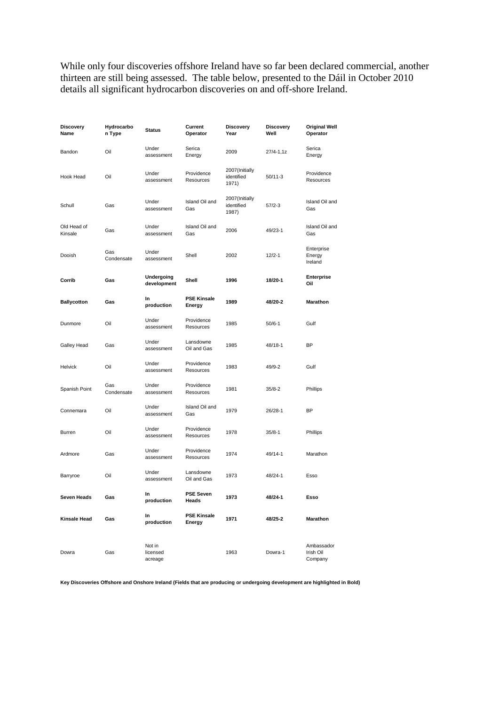While only four discoveries offshore Ireland have so far been declared commercial, another thirteen are still being assessed. The table below, presented to the Dáil in October 2010 details all significant hydrocarbon discoveries on and off-shore Ireland.

| Discovery<br>Name      | Hydrocarbo<br>n Type | Status                        | Current<br>Operator          | <b>Discovery</b><br>Year              | <b>Discovery</b><br>Well | <b>Original Well</b><br>Operator   |
|------------------------|----------------------|-------------------------------|------------------------------|---------------------------------------|--------------------------|------------------------------------|
| Bandon                 | Oil                  | Under<br>assessment           | Serica<br>Energy             | 2009                                  | $27/4 - 1, 1z$           | Serica<br>Energy                   |
| Hook Head              | Oil                  | Under<br>assessment           | Providence<br>Resources      | 2007(Initially<br>identified<br>1971) | $50/11-3$                | Providence<br>Resources            |
| Schull                 | Gas                  | Under<br>assessment           | Island Oil and<br>Gas        | 2007(Initially<br>identified<br>1987) | 57/2-3                   | Island Oil and<br>Gas              |
| Old Head of<br>Kinsale | Gas                  | Under<br>assessment           | Island Oil and<br>Gas        | 2006                                  | 49/23-1                  | Island Oil and<br>Gas              |
| Dooish                 | Gas<br>Condensate    | Under<br>assessment           | Shell                        | 2002                                  | $12/2 - 1$               | Enterprise<br>Energy<br>Ireland    |
| Corrib                 | Gas                  | Undergoing<br>development     | Shell                        | 1996                                  | 18/20-1                  | <b>Enterprise</b><br>Oil           |
| <b>Ballycotton</b>     | Gas                  | In<br>production              | <b>PSE Kinsale</b><br>Energy | 1989                                  | 48/20-2                  | Marathon                           |
| Dunmore                | Oil                  | Under<br>assessment           | Providence<br>Resources      | 1985                                  | $50/6 - 1$               | Gulf                               |
| Galley Head            | Gas                  | Under<br>assessment           | Lansdowne<br>Oil and Gas     | 1985                                  | 48/18-1                  | ΒP                                 |
| Helvick                | Oil                  | Under<br>assessment           | Providence<br>Resources      | 1983                                  | 49/9-2                   | Gulf                               |
| Spanish Point          | Gas<br>Condensate    | Under<br>assessment           | Providence<br>Resources      | 1981                                  | $35/8 - 2$               | Phillips                           |
| Connemara              | Oil                  | Under<br>assessment           | Island Oil and<br>Gas        | 1979                                  | 26/28-1                  | ΒP                                 |
| Burren                 | Oil                  | Under<br>assessment           | Providence<br>Resources      | 1978                                  | $35/8 - 1$               | Phillips                           |
| Ardmore                | Gas                  | Under<br>assessment           | Providence<br>Resources      | 1974                                  | 49/14-1                  | Marathon                           |
| Barryroe               | Oil                  | Under<br>assessment           | Lansdowne<br>Oil and Gas     | 1973                                  | 48/24-1                  | Esso                               |
| Seven Heads            | Gas                  | In<br>production              | <b>PSE Seven</b><br>Heads    | 1973                                  | 48/24-1                  | Esso                               |
| Kinsale Head           | Gas                  | In<br>production              | <b>PSE Kinsale</b><br>Energy | 1971                                  | 48/25-2                  | Marathon                           |
| Dowra                  | Gas                  | Not in<br>licensed<br>acreage |                              | 1963                                  | Dowra-1                  | Ambassador<br>Irish Oil<br>Company |

**Key Discoveries Offshore and Onshore Ireland (Fields that are producing or undergoing development are highlighted in Bold)**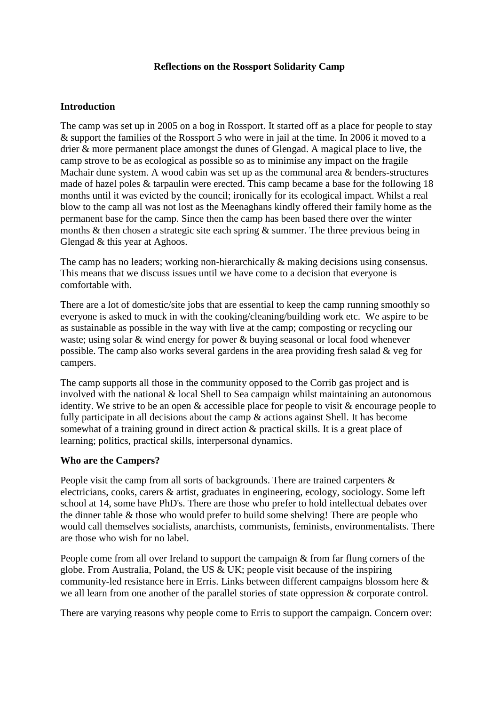# **Reflections on the Rossport Solidarity Camp**

# **Introduction**

The camp was set up in 2005 on a bog in Rossport. It started off as a place for people to stay & support the families of the Rossport 5 who were in jail at the time. In 2006 it moved to a drier & more permanent place amongst the dunes of Glengad. A magical place to live, the camp strove to be as ecological as possible so as to minimise any impact on the fragile Machair dune system. A wood cabin was set up as the communal area & benders-structures made of hazel poles & tarpaulin were erected. This camp became a base for the following 18 months until it was evicted by the council; ironically for its ecological impact. Whilst a real blow to the camp all was not lost as the Meenaghans kindly offered their family home as the permanent base for the camp. Since then the camp has been based there over the winter months  $\&$  then chosen a strategic site each spring  $\&$  summer. The three previous being in Glengad & this year at Aghoos.

The camp has no leaders; working non-hierarchically  $\&$  making decisions using consensus. This means that we discuss issues until we have come to a decision that everyone is comfortable with.

There are a lot of domestic/site jobs that are essential to keep the camp running smoothly so everyone is asked to muck in with the cooking/cleaning/building work etc. We aspire to be as sustainable as possible in the way with live at the camp; composting or recycling our waste; using solar & wind energy for power & buying seasonal or local food whenever possible. The camp also works several gardens in the area providing fresh salad & veg for campers.

The camp supports all those in the community opposed to the Corrib gas project and is involved with the national & local Shell to Sea campaign whilst maintaining an autonomous identity. We strive to be an open & accessible place for people to visit & encourage people to fully participate in all decisions about the camp  $\&$  actions against Shell. It has become somewhat of a training ground in direct action & practical skills. It is a great place of learning; politics, practical skills, interpersonal dynamics.

# **Who are the Campers?**

People visit the camp from all sorts of backgrounds. There are trained carpenters & electricians, cooks, carers & artist, graduates in engineering, ecology, sociology. Some left school at 14, some have PhD's. There are those who prefer to hold intellectual debates over the dinner table & those who would prefer to build some shelving! There are people who would call themselves socialists, anarchists, communists, feminists, environmentalists. There are those who wish for no label.

People come from all over Ireland to support the campaign  $\&$  from far flung corners of the globe. From Australia, Poland, the US & UK; people visit because of the inspiring community-led resistance here in Erris. Links between different campaigns blossom here & we all learn from one another of the parallel stories of state oppression & corporate control.

There are varying reasons why people come to Erris to support the campaign. Concern over: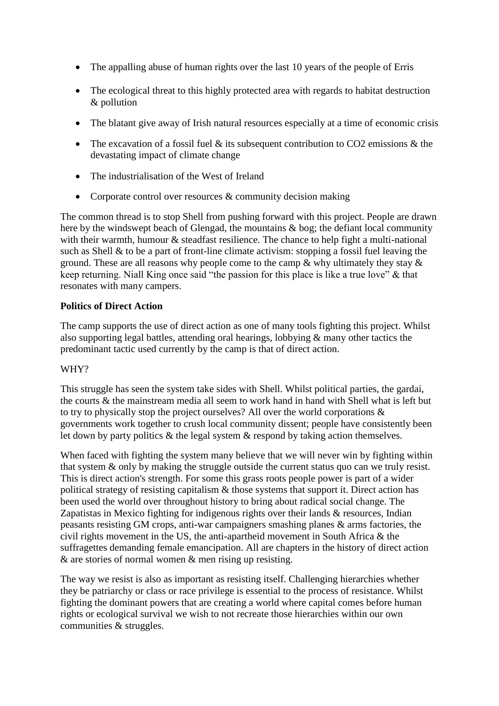- The appalling abuse of human rights over the last 10 years of the people of Erris
- The ecological threat to this highly protected area with regards to habitat destruction & pollution
- The blatant give away of Irish natural resources especially at a time of economic crisis
- The excavation of a fossil fuel  $\&$  its subsequent contribution to CO2 emissions  $\&$  the devastating impact of climate change
- The industrialisation of the West of Ireland
- Corporate control over resources & community decision making

The common thread is to stop Shell from pushing forward with this project. People are drawn here by the windswept beach of Glengad, the mountains & bog; the defiant local community with their warmth, humour & steadfast resilience. The chance to help fight a multi-national such as Shell & to be a part of front-line climate activism: stopping a fossil fuel leaving the ground. These are all reasons why people come to the camp  $\&$  why ultimately they stay  $\&$ keep returning. Niall King once said "the passion for this place is like a true love" & that resonates with many campers.

# **Politics of Direct Action**

The camp supports the use of direct action as one of many tools fighting this project. Whilst also supporting legal battles, attending oral hearings, lobbying & many other tactics the predominant tactic used currently by the camp is that of direct action.

# WHY?

This struggle has seen the system take sides with Shell. Whilst political parties, the gardai, the courts & the mainstream media all seem to work hand in hand with Shell what is left but to try to physically stop the project ourselves? All over the world corporations & governments work together to crush local community dissent; people have consistently been let down by party politics & the legal system & respond by taking action themselves.

When faced with fighting the system many believe that we will never win by fighting within that system & only by making the struggle outside the current status quo can we truly resist. This is direct action's strength. For some this grass roots people power is part of a wider political strategy of resisting capitalism & those systems that support it. Direct action has been used the world over throughout history to bring about radical social change. The Zapatistas in Mexico fighting for indigenous rights over their lands & resources, Indian peasants resisting GM crops, anti-war campaigners smashing planes & arms factories, the civil rights movement in the US, the anti-apartheid movement in South Africa & the suffragettes demanding female emancipation. All are chapters in the history of direct action & are stories of normal women & men rising up resisting.

The way we resist is also as important as resisting itself. Challenging hierarchies whether they be patriarchy or class or race privilege is essential to the process of resistance. Whilst fighting the dominant powers that are creating a world where capital comes before human rights or ecological survival we wish to not recreate those hierarchies within our own communities & struggles.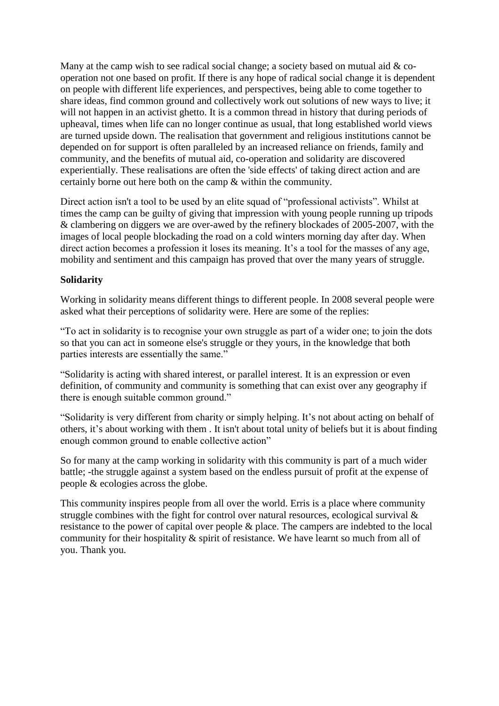Many at the camp wish to see radical social change; a society based on mutual aid  $&$  cooperation not one based on profit. If there is any hope of radical social change it is dependent on people with different life experiences, and perspectives, being able to come together to share ideas, find common ground and collectively work out solutions of new ways to live; it will not happen in an activist ghetto. It is a common thread in history that during periods of upheaval, times when life can no longer continue as usual, that long established world views are turned upside down. The realisation that government and religious institutions cannot be depended on for support is often paralleled by an increased reliance on friends, family and community, and the benefits of mutual aid, co-operation and solidarity are discovered experientially. These realisations are often the 'side effects' of taking direct action and are certainly borne out here both on the camp & within the community.

Direct action isn't a tool to be used by an elite squad of "professional activists". Whilst at times the camp can be guilty of giving that impression with young people running up tripods & clambering on diggers we are over-awed by the refinery blockades of 2005-2007, with the images of local people blockading the road on a cold winters morning day after day. When direct action becomes a profession it loses its meaning. It's a tool for the masses of any age, mobility and sentiment and this campaign has proved that over the many years of struggle.

# **Solidarity**

Working in solidarity means different things to different people. In 2008 several people were asked what their perceptions of solidarity were. Here are some of the replies:

"To act in solidarity is to recognise your own struggle as part of a wider one; to join the dots so that you can act in someone else's struggle or they yours, in the knowledge that both parties interests are essentially the same."

"Solidarity is acting with shared interest, or parallel interest. It is an expression or even definition, of community and community is something that can exist over any geography if there is enough suitable common ground."

"Solidarity is very different from charity or simply helping. It"s not about acting on behalf of others, it's about working with them. It isn't about total unity of beliefs but it is about finding enough common ground to enable collective action"

So for many at the camp working in solidarity with this community is part of a much wider battle; -the struggle against a system based on the endless pursuit of profit at the expense of people & ecologies across the globe.

This community inspires people from all over the world. Erris is a place where community struggle combines with the fight for control over natural resources, ecological survival & resistance to the power of capital over people & place. The campers are indebted to the local community for their hospitality & spirit of resistance. We have learnt so much from all of you. Thank you.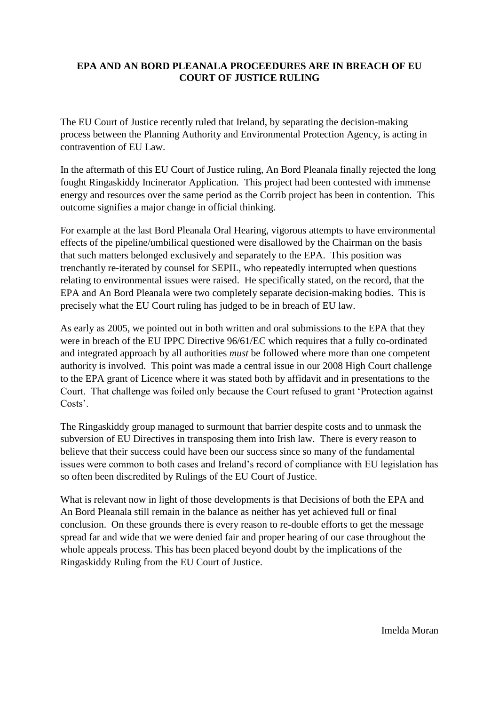# **EPA AND AN BORD PLEANALA PROCEEDURES ARE IN BREACH OF EU COURT OF JUSTICE RULING**

The EU Court of Justice recently ruled that Ireland, by separating the decision-making process between the Planning Authority and Environmental Protection Agency, is acting in contravention of EU Law.

In the aftermath of this EU Court of Justice ruling, An Bord Pleanala finally rejected the long fought Ringaskiddy Incinerator Application. This project had been contested with immense energy and resources over the same period as the Corrib project has been in contention. This outcome signifies a major change in official thinking.

For example at the last Bord Pleanala Oral Hearing, vigorous attempts to have environmental effects of the pipeline/umbilical questioned were disallowed by the Chairman on the basis that such matters belonged exclusively and separately to the EPA. This position was trenchantly re-iterated by counsel for SEPIL, who repeatedly interrupted when questions relating to environmental issues were raised. He specifically stated, on the record, that the EPA and An Bord Pleanala were two completely separate decision-making bodies. This is precisely what the EU Court ruling has judged to be in breach of EU law.

As early as 2005, we pointed out in both written and oral submissions to the EPA that they were in breach of the EU IPPC Directive 96/61/EC which requires that a fully co-ordinated and integrated approach by all authorities *must* be followed where more than one competent authority is involved. This point was made a central issue in our 2008 High Court challenge to the EPA grant of Licence where it was stated both by affidavit and in presentations to the Court. That challenge was foiled only because the Court refused to grant "Protection against Costs'.

The Ringaskiddy group managed to surmount that barrier despite costs and to unmask the subversion of EU Directives in transposing them into Irish law. There is every reason to believe that their success could have been our success since so many of the fundamental issues were common to both cases and Ireland"s record of compliance with EU legislation has so often been discredited by Rulings of the EU Court of Justice.

What is relevant now in light of those developments is that Decisions of both the EPA and An Bord Pleanala still remain in the balance as neither has yet achieved full or final conclusion. On these grounds there is every reason to re-double efforts to get the message spread far and wide that we were denied fair and proper hearing of our case throughout the whole appeals process. This has been placed beyond doubt by the implications of the Ringaskiddy Ruling from the EU Court of Justice.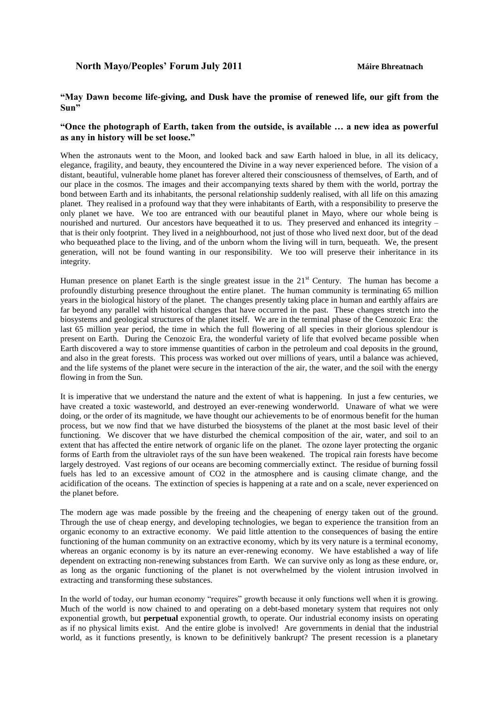# **"May Dawn become life-giving, and Dusk have the promise of renewed life, our gift from the Sun"**

#### **"Once the photograph of Earth, taken from the outside, is available … a new idea as powerful as any in history will be set loose."**

When the astronauts went to the Moon, and looked back and saw Earth haloed in blue, in all its delicacy, elegance, fragility, and beauty, they encountered the Divine in a way never experienced before. The vision of a distant, beautiful, vulnerable home planet has forever altered their consciousness of themselves, of Earth, and of our place in the cosmos. The images and their accompanying texts shared by them with the world, portray the bond between Earth and its inhabitants, the personal relationship suddenly realised, with all life on this amazing planet. They realised in a profound way that they were inhabitants of Earth, with a responsibility to preserve the only planet we have. We too are entranced with our beautiful planet in Mayo, where our whole being is nourished and nurtured. Our ancestors have bequeathed it to us. They preserved and enhanced its integrity – that is their only footprint. They lived in a neighbourhood, not just of those who lived next door, but of the dead who bequeathed place to the living, and of the unborn whom the living will in turn, bequeath. We, the present generation, will not be found wanting in our responsibility. We too will preserve their inheritance in its integrity.

Human presence on planet Earth is the single greatest issue in the  $21<sup>st</sup>$  Century. The human has become a profoundly disturbing presence throughout the entire planet. The human community is terminating 65 million years in the biological history of the planet. The changes presently taking place in human and earthly affairs are far beyond any parallel with historical changes that have occurred in the past. These changes stretch into the biosystems and geological structures of the planet itself. We are in the terminal phase of the Cenozoic Era: the last 65 million year period, the time in which the full flowering of all species in their glorious splendour is present on Earth. During the Cenozoic Era, the wonderful variety of life that evolved became possible when Earth discovered a way to store immense quantities of carbon in the petroleum and coal deposits in the ground, and also in the great forests. This process was worked out over millions of years, until a balance was achieved, and the life systems of the planet were secure in the interaction of the air, the water, and the soil with the energy flowing in from the Sun.

It is imperative that we understand the nature and the extent of what is happening. In just a few centuries, we have created a toxic wasteworld, and destroyed an ever-renewing wonderworld. Unaware of what we were doing, or the order of its magnitude, we have thought our achievements to be of enormous benefit for the human process, but we now find that we have disturbed the biosystems of the planet at the most basic level of their functioning. We discover that we have disturbed the chemical composition of the air, water, and soil to an extent that has affected the entire network of organic life on the planet. The ozone layer protecting the organic forms of Earth from the ultraviolet rays of the sun have been weakened. The tropical rain forests have become largely destroyed. Vast regions of our oceans are becoming commercially extinct. The residue of burning fossil fuels has led to an excessive amount of CO2 in the atmosphere and is causing climate change, and the acidification of the oceans. The extinction of species is happening at a rate and on a scale, never experienced on the planet before.

The modern age was made possible by the freeing and the cheapening of energy taken out of the ground. Through the use of cheap energy, and developing technologies, we began to experience the transition from an organic economy to an extractive economy. We paid little attention to the consequences of basing the entire functioning of the human community on an extractive economy, which by its very nature is a terminal economy, whereas an organic economy is by its nature an ever-renewing economy. We have established a way of life dependent on extracting non-renewing substances from Earth. We can survive only as long as these endure, or, as long as the organic functioning of the planet is not overwhelmed by the violent intrusion involved in extracting and transforming these substances.

In the world of today, our human economy "requires" growth because it only functions well when it is growing. Much of the world is now chained to and operating on a debt-based monetary system that requires not only exponential growth, but **perpetual** exponential growth, to operate. Our industrial economy insists on operating as if no physical limits exist. And the entire globe is involved! Are governments in denial that the industrial world, as it functions presently, is known to be definitively bankrupt? The present recession is a planetary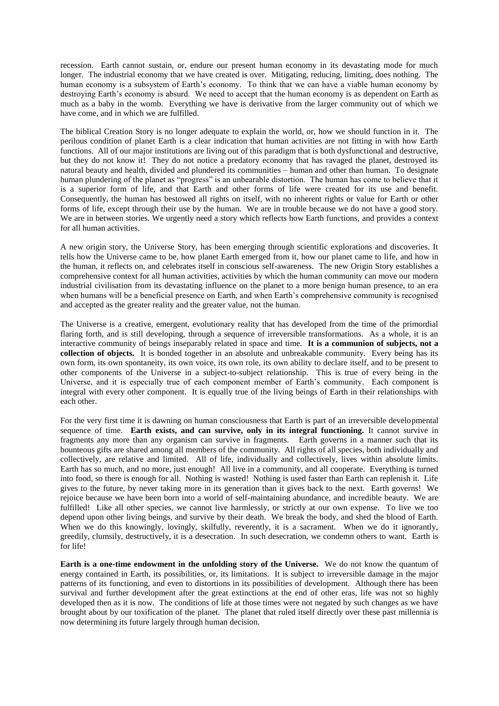recession. Earth cannot sustain, or, endure our present human economy in its devastating mode for much longer. The industrial economy that we have created is over. Mitigating, reducing, limiting, does nothing. The human economy is a subsystem of Earth's economy. To think that we can have a viable human economy by destroying Earth's economy is absurd. We need to accept that the human economy is as dependent on Earth as much as a baby in the womb. Everything we have is derivative from the larger community out of which we have come, and in which we are fulfilled.

The biblical Creation Story is no longer adequate to explain the world, or, how we should function in it. The perilous condition of planet Earth is a clear indication that human activities are not fitting in with how Earth functions. All of our major institutions are living out of this paradigm that is both dysfunctional and destructive, but they do not know it! They do not notice a predatory economy that has ravaged the planet, destroyed its natural beauty and health, divided and plundered its communities – human and other than human. To designate human plundering of the planet as "progress" is an unbearable distortion. The human has come to believe that it is a superior form of life, and that Earth and other forms of life were created for its use and benefit. Consequently, the human has bestowed all rights on itself, with no inherent rights or value for Earth or other forms of life, except through their use by the human. We are in trouble because we do not have a good story. We are in between stories. We urgently need a story which reflects how Earth functions, and provides a context for all human activities.

A new origin story, the Universe Story, has been emerging through scientific explorations and discoveries. It tells how the Universe came to be, how planet Earth emerged from it, how our planet came to life, and how in the human, it reflects on, and celebrates itself in conscious self-awareness. The new Origin Story establishes a comprehensive context for all human activities, activities by which the human community can move our modern industrial civilisation from its devastating influence on the planet to a more benign human presence, to an era when humans will be a beneficial presence on Earth, and when Earth's comprehensive community is recognised and accepted as the greater reality and the greater value, not the human.

The Universe is a creative, emergent, evolutionary reality that has developed from the time of the primordial flaring forth, and is still developing, through a sequence of irreversible transformations. As a whole, it is an interactive community of beings inseparably related in space and time. **It is a communion of subjects, not a collection of objects.** It is bonded together in an absolute and unbreakable community. Every being has its own form, its own spontaneity, its own voice, its own role, its own ability to declare itself, and to be present to other components of the Universe in a subject-to-subject relationship. This is true of every being in the Universe, and it is especially true of each component member of Earth"s community. Each component is integral with every other component. It is equally true of the living beings of Earth in their relationships with each other.

For the very first time it is dawning on human consciousness that Earth is part of an irreversible developmental sequence of time. **Earth exists, and can survive, only in its integral functioning.** It cannot survive in fragments any more than any organism can survive in fragments. Earth governs in a manner such that its bounteous gifts are shared among all members of the community. All rights of all species, both individually and collectively, are relative and limited. All of life, individually and collectively, lives within absolute limits. Earth has so much, and no more, just enough! All live in a community, and all cooperate. Everything is turned into food, so there is enough for all. Nothing is wasted! Nothing is used faster than Earth can replenish it. Life gives to the future, by never taking more in its generation than it gives back to the next. Earth governs! We rejoice because we have been born into a world of self-maintaining abundance, and incredible beauty. We are fulfilled! Like all other species, we cannot live harmlessly, or strictly at our own expense. To live we too depend upon other living beings, and survive by their death. We break the body, and shed the blood of Earth. When we do this knowingly, lovingly, skilfully, reverently, it is a sacrament. When we do it ignorantly, greedily, clumsily, destructively, it is a desecration. In such desecration, we condemn others to want. Earth is for life!

**Earth is a one-time endowment in the unfolding story of the Universe.** We do not know the quantum of energy contained in Earth, its possibilities, or, its limitations. It is subject to irreversible damage in the major patterns of its functioning, and even to distortions in its possibilities of development. Although there has been survival and further development after the great extinctions at the end of other eras, life was not so highly developed then as it is now. The conditions of life at those times were not negated by such changes as we have brought about by our toxification of the planet. The planet that ruled itself directly over these past millennia is now determining its future largely through human decision.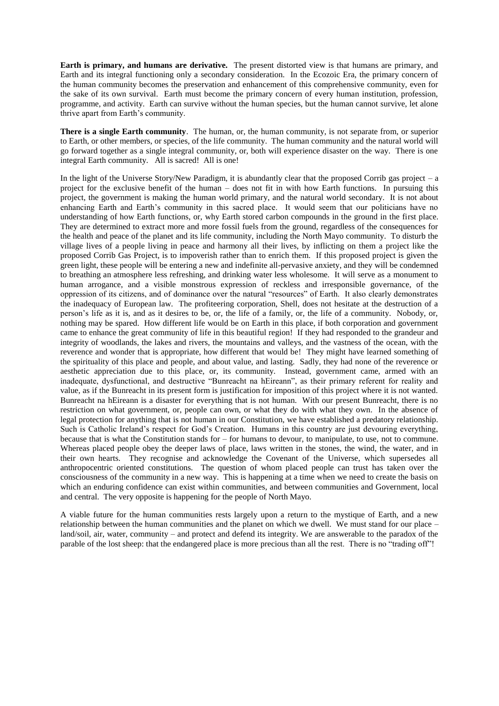**Earth is primary, and humans are derivative.** The present distorted view is that humans are primary, and Earth and its integral functioning only a secondary consideration. In the Ecozoic Era, the primary concern of the human community becomes the preservation and enhancement of this comprehensive community, even for the sake of its own survival. Earth must become the primary concern of every human institution, profession, programme, and activity. Earth can survive without the human species, but the human cannot survive, let alone thrive apart from Earth"s community.

**There is a single Earth community**. The human, or, the human community, is not separate from, or superior to Earth, or other members, or species, of the life community. The human community and the natural world will go forward together as a single integral community, or, both will experience disaster on the way. There is one integral Earth community. All is sacred! All is one!

In the light of the Universe Story/New Paradigm, it is abundantly clear that the proposed Corrib gas project – a project for the exclusive benefit of the human – does not fit in with how Earth functions. In pursuing this project, the government is making the human world primary, and the natural world secondary. It is not about enhancing Earth and Earth's community in this sacred place. It would seem that our politicians have no understanding of how Earth functions, or, why Earth stored carbon compounds in the ground in the first place. They are determined to extract more and more fossil fuels from the ground, regardless of the consequences for the health and peace of the planet and its life community, including the North Mayo community. To disturb the village lives of a people living in peace and harmony all their lives, by inflicting on them a project like the proposed Corrib Gas Project, is to impoverish rather than to enrich them. If this proposed project is given the green light, these people will be entering a new and indefinite all-pervasive anxiety, and they will be condemned to breathing an atmosphere less refreshing, and drinking water less wholesome. It will serve as a monument to human arrogance, and a visible monstrous expression of reckless and irresponsible governance, of the oppression of its citizens, and of dominance over the natural "resources" of Earth. It also clearly demonstrates the inadequacy of European law. The profiteering corporation, Shell, does not hesitate at the destruction of a person"s life as it is, and as it desires to be, or, the life of a family, or, the life of a community. Nobody, or, nothing may be spared. How different life would be on Earth in this place, if both corporation and government came to enhance the great community of life in this beautiful region! If they had responded to the grandeur and integrity of woodlands, the lakes and rivers, the mountains and valleys, and the vastness of the ocean, with the reverence and wonder that is appropriate, how different that would be! They might have learned something of the spirituality of this place and people, and about value, and lasting. Sadly, they had none of the reverence or aesthetic appreciation due to this place, or, its community. Instead, government came, armed with an inadequate, dysfunctional, and destructive "Bunreacht na hEireann", as their primary referent for reality and value, as if the Bunreacht in its present form is justification for imposition of this project where it is not wanted. Bunreacht na hEireann is a disaster for everything that is not human. With our present Bunreacht, there is no restriction on what government, or, people can own, or what they do with what they own. In the absence of legal protection for anything that is not human in our Constitution, we have established a predatory relationship. Such is Catholic Ireland's respect for God's Creation. Humans in this country are just devouring everything, because that is what the Constitution stands for – for humans to devour, to manipulate, to use, not to commune. Whereas placed people obey the deeper laws of place, laws written in the stones, the wind, the water, and in their own hearts. They recognise and acknowledge the Covenant of the Universe, which supersedes all anthropocentric oriented constitutions. The question of whom placed people can trust has taken over the consciousness of the community in a new way. This is happening at a time when we need to create the basis on which an enduring confidence can exist within communities, and between communities and Government, local and central. The very opposite is happening for the people of North Mayo.

A viable future for the human communities rests largely upon a return to the mystique of Earth, and a new relationship between the human communities and the planet on which we dwell. We must stand for our place – land/soil, air, water, community – and protect and defend its integrity. We are answerable to the paradox of the parable of the lost sheep: that the endangered place is more precious than all the rest. There is no "trading off"!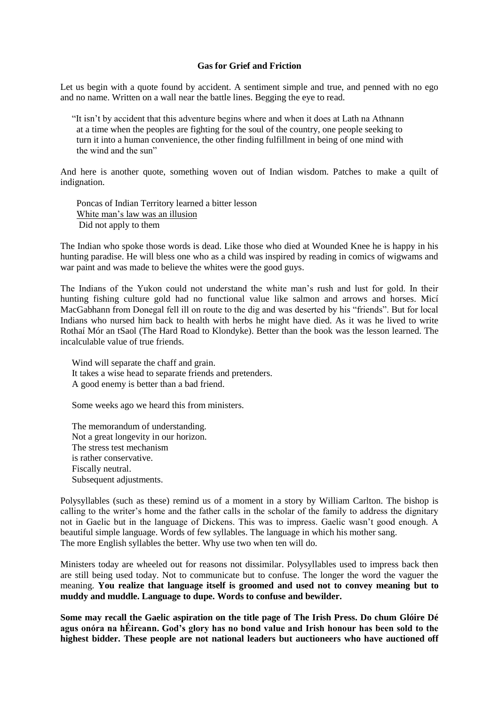#### **Gas for Grief and Friction**

Let us begin with a quote found by accident. A sentiment simple and true, and penned with no ego and no name. Written on a wall near the battle lines. Begging the eye to read.

 "It isn"t by accident that this adventure begins where and when it does at Lath na Athnann at a time when the peoples are fighting for the soul of the country, one people seeking to turn it into a human convenience, the other finding fulfillment in being of one mind with the wind and the sun"

And here is another quote, something woven out of Indian wisdom. Patches to make a quilt of indignation.

 Poncas of Indian Territory learned a bitter lesson White man"s law was an illusion Did not apply to them

The Indian who spoke those words is dead. Like those who died at Wounded Knee he is happy in his hunting paradise. He will bless one who as a child was inspired by reading in comics of wigwams and war paint and was made to believe the whites were the good guys.

The Indians of the Yukon could not understand the white man"s rush and lust for gold. In their hunting fishing culture gold had no functional value like salmon and arrows and horses. Micí MacGabhann from Donegal fell ill on route to the dig and was deserted by his "friends". But for local Indians who nursed him back to health with herbs he might have died. As it was he lived to write Rothaí Mór an tSaol (The Hard Road to Klondyke). Better than the book was the lesson learned. The incalculable value of true friends.

 Wind will separate the chaff and grain. It takes a wise head to separate friends and pretenders. A good enemy is better than a bad friend.

Some weeks ago we heard this from ministers.

 The memorandum of understanding. Not a great longevity in our horizon. The stress test mechanism is rather conservative. Fiscally neutral. Subsequent adjustments.

Polysyllables (such as these) remind us of a moment in a story by William Carlton. The bishop is calling to the writer"s home and the father calls in the scholar of the family to address the dignitary not in Gaelic but in the language of Dickens. This was to impress. Gaelic wasn"t good enough. A beautiful simple language. Words of few syllables. The language in which his mother sang. The more English syllables the better. Why use two when ten will do.

Ministers today are wheeled out for reasons not dissimilar. Polysyllables used to impress back then are still being used today. Not to communicate but to confuse. The longer the word the vaguer the meaning. **You realize that language itself is groomed and used not to convey meaning but to muddy and muddle. Language to dupe. Words to confuse and bewilder.**

**Some may recall the Gaelic aspiration on the title page of The Irish Press. Do chum Glóire Dé agus onóra na hÉireann. God's glory has no bond value and Irish honour has been sold to the highest bidder. These people are not national leaders but auctioneers who have auctioned off**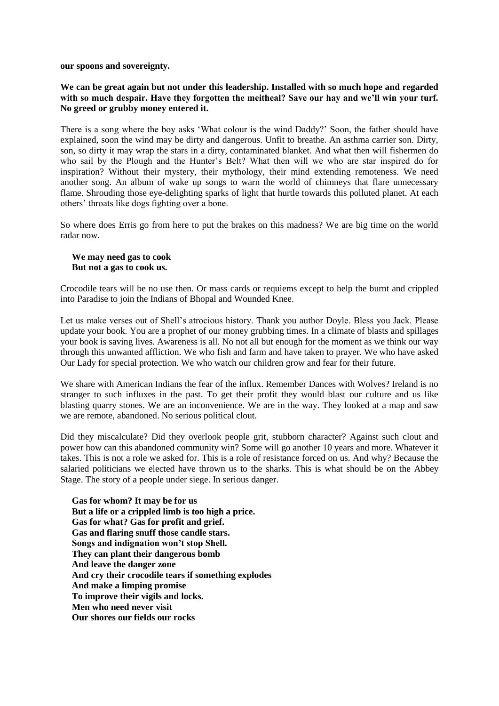**our spoons and sovereignty.**

# **We can be great again but not under this leadership. Installed with so much hope and regarded with so much despair. Have they forgotten the meitheal? Save our hay and we'll win your turf. No greed or grubby money entered it.**

There is a song where the boy asks "What colour is the wind Daddy?" Soon, the father should have explained, soon the wind may be dirty and dangerous. Unfit to breathe. An asthma carrier son. Dirty, son, so dirty it may wrap the stars in a dirty, contaminated blanket. And what then will fishermen do who sail by the Plough and the Hunter's Belt? What then will we who are star inspired do for inspiration? Without their mystery, their mythology, their mind extending remoteness. We need another song. An album of wake up songs to warn the world of chimneys that flare unnecessary flame. Shrouding those eye-delighting sparks of light that hurtle towards this polluted planet. At each others" throats like dogs fighting over a bone.

So where does Erris go from here to put the brakes on this madness? We are big time on the world radar now.

# **We may need gas to cook But not a gas to cook us.**

Crocodile tears will be no use then. Or mass cards or requiems except to help the burnt and crippled into Paradise to join the Indians of Bhopal and Wounded Knee.

Let us make verses out of Shell"s atrocious history. Thank you author Doyle. Bless you Jack. Please update your book. You are a prophet of our money grubbing times. In a climate of blasts and spillages your book is saving lives. Awareness is all. No not all but enough for the moment as we think our way through this unwanted affliction. We who fish and farm and have taken to prayer. We who have asked Our Lady for special protection. We who watch our children grow and fear for their future.

We share with American Indians the fear of the influx. Remember Dances with Wolves? Ireland is no stranger to such influxes in the past. To get their profit they would blast our culture and us like blasting quarry stones. We are an inconvenience. We are in the way. They looked at a map and saw we are remote, abandoned. No serious political clout.

Did they miscalculate? Did they overlook people grit, stubborn character? Against such clout and power how can this abandoned community win? Some will go another 10 years and more. Whatever it takes. This is not a role we asked for. This is a role of resistance forced on us. And why? Because the salaried politicians we elected have thrown us to the sharks. This is what should be on the Abbey Stage. The story of a people under siege. In serious danger.

 **Gas for whom? It may be for us But a life or a crippled limb is too high a price. Gas for what? Gas for profit and grief. Gas and flaring snuff those candle stars. Songs and indignation won't stop Shell. They can plant their dangerous bomb And leave the danger zone And cry their crocodile tears if something explodes And make a limping promise To improve their vigils and locks. Men who need never visit Our shores our fields our rocks**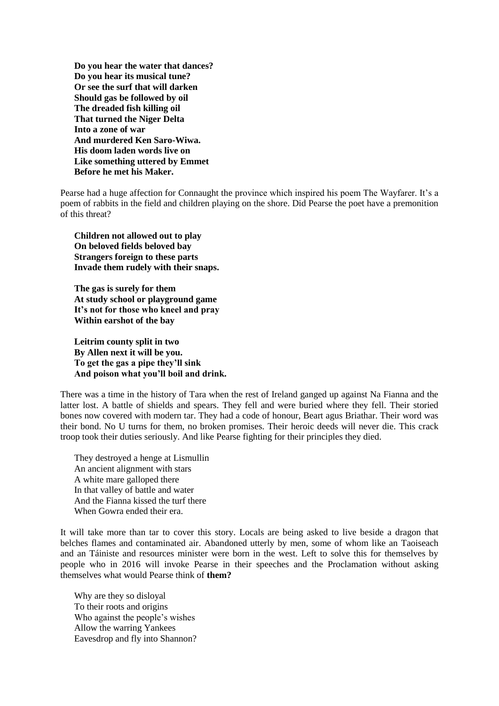**Do you hear the water that dances? Do you hear its musical tune? Or see the surf that will darken Should gas be followed by oil The dreaded fish killing oil That turned the Niger Delta Into a zone of war And murdered Ken Saro-Wiwa. His doom laden words live on Like something uttered by Emmet Before he met his Maker.**

Pearse had a huge affection for Connaught the province which inspired his poem The Wayfarer. It's a poem of rabbits in the field and children playing on the shore. Did Pearse the poet have a premonition of this threat?

 **Children not allowed out to play On beloved fields beloved bay Strangers foreign to these parts Invade them rudely with their snaps.**

 **The gas is surely for them At study school or playground game It's not for those who kneel and pray Within earshot of the bay**

 **Leitrim county split in two By Allen next it will be you. To get the gas a pipe they'll sink And poison what you'll boil and drink.**

There was a time in the history of Tara when the rest of Ireland ganged up against Na Fianna and the latter lost. A battle of shields and spears. They fell and were buried where they fell. Their storied bones now covered with modern tar. They had a code of honour, Beart agus Briathar. Their word was their bond. No U turns for them, no broken promises. Their heroic deeds will never die. This crack troop took their duties seriously. And like Pearse fighting for their principles they died.

 They destroyed a henge at Lismullin An ancient alignment with stars A white mare galloped there In that valley of battle and water And the Fianna kissed the turf there When Gowra ended their era.

It will take more than tar to cover this story. Locals are being asked to live beside a dragon that belches flames and contaminated air. Abandoned utterly by men, some of whom like an Taoiseach and an Táiniste and resources minister were born in the west. Left to solve this for themselves by people who in 2016 will invoke Pearse in their speeches and the Proclamation without asking themselves what would Pearse think of **them?**

Why are they so disloyal To their roots and origins Who against the people"s wishes Allow the warring Yankees Eavesdrop and fly into Shannon?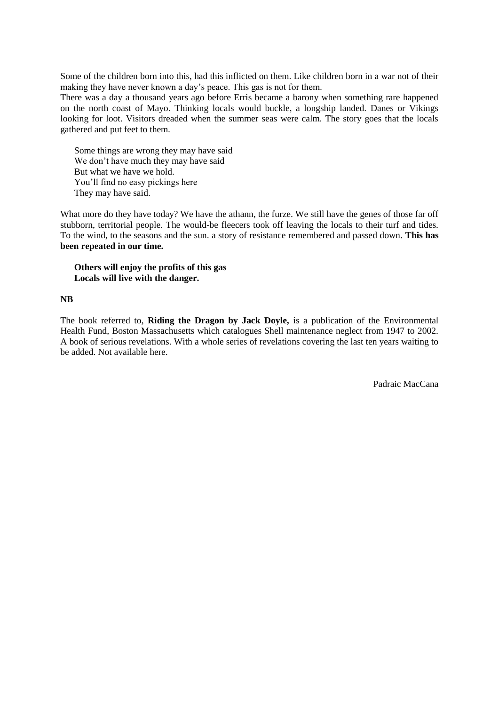Some of the children born into this, had this inflicted on them. Like children born in a war not of their making they have never known a day"s peace. This gas is not for them.

There was a day a thousand years ago before Erris became a barony when something rare happened on the north coast of Mayo. Thinking locals would buckle, a longship landed. Danes or Vikings looking for loot. Visitors dreaded when the summer seas were calm. The story goes that the locals gathered and put feet to them.

 Some things are wrong they may have said We don't have much they may have said But what we have we hold. You"ll find no easy pickings here They may have said.

What more do they have today? We have the athann, the furze. We still have the genes of those far off stubborn, territorial people. The would-be fleecers took off leaving the locals to their turf and tides. To the wind, to the seasons and the sun. a story of resistance remembered and passed down. **This has been repeated in our time.**

#### **Others will enjoy the profits of this gas Locals will live with the danger.**

#### **NB**

The book referred to, **Riding the Dragon by Jack Doyle,** is a publication of the Environmental Health Fund, Boston Massachusetts which catalogues Shell maintenance neglect from 1947 to 2002. A book of serious revelations. With a whole series of revelations covering the last ten years waiting to be added. Not available here.

Padraic MacCana